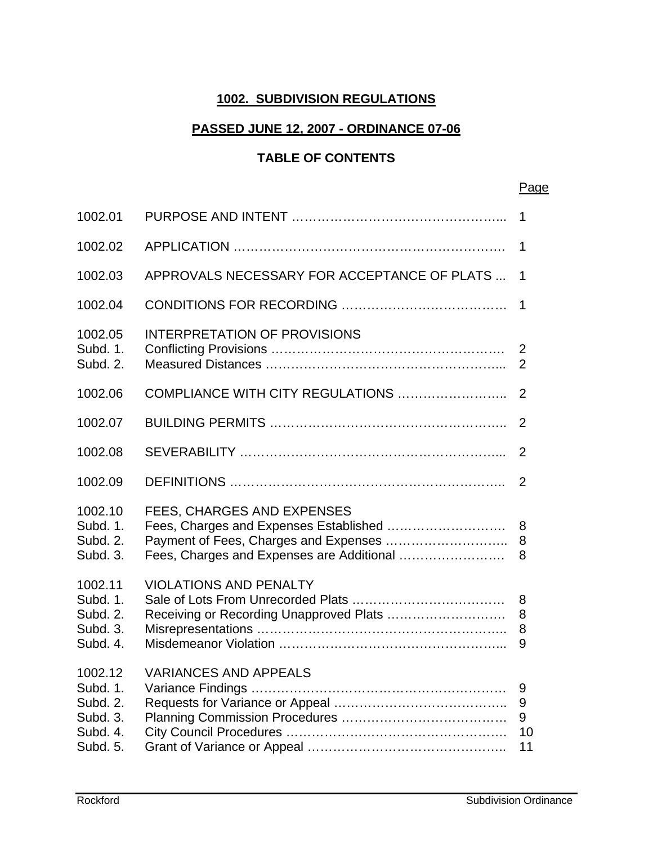#### **1002. SUBDIVISION REGULATIONS**

#### **PASSED JUNE 12, 2007 - ORDINANCE 07-06**

## **TABLE OF CONTENTS**

|                                                                     |                                                                          | <u>Page</u>                      |
|---------------------------------------------------------------------|--------------------------------------------------------------------------|----------------------------------|
| 1002.01                                                             |                                                                          | 1                                |
| 1002.02                                                             |                                                                          | 1                                |
| 1002.03                                                             | APPROVALS NECESSARY FOR ACCEPTANCE OF PLATS                              | 1                                |
| 1002.04                                                             |                                                                          | 1                                |
| 1002.05<br>Subd. 1.<br>Subd. 2.                                     | <b>INTERPRETATION OF PROVISIONS</b>                                      | $\overline{2}$<br>$\overline{2}$ |
| 1002.06                                                             | COMPLIANCE WITH CITY REGULATIONS                                         | $\overline{2}$                   |
| 1002.07                                                             |                                                                          | $\overline{2}$                   |
| 1002.08                                                             |                                                                          | 2                                |
| 1002.09                                                             |                                                                          | $\overline{2}$                   |
| 1002.10<br>Subd. 1.<br>Subd. 2.<br>Subd. 3.                         | FEES, CHARGES AND EXPENSES<br>Fees, Charges and Expenses are Additional  | 8<br>8<br>8                      |
| 1002.11<br>Subd. 1.<br>Subd. 2.<br>Subd. 3.<br>Subd. 4.             | <b>VIOLATIONS AND PENALTY</b><br>Receiving or Recording Unapproved Plats | 8<br>8<br>8<br>9                 |
| 1002.12<br>Subd. 1.<br>Subd. 2.<br>Subd. 3.<br>Subd. 4.<br>Subd. 5. | <b>VARIANCES AND APPEALS</b>                                             | 9<br>9<br>9<br>10<br>11          |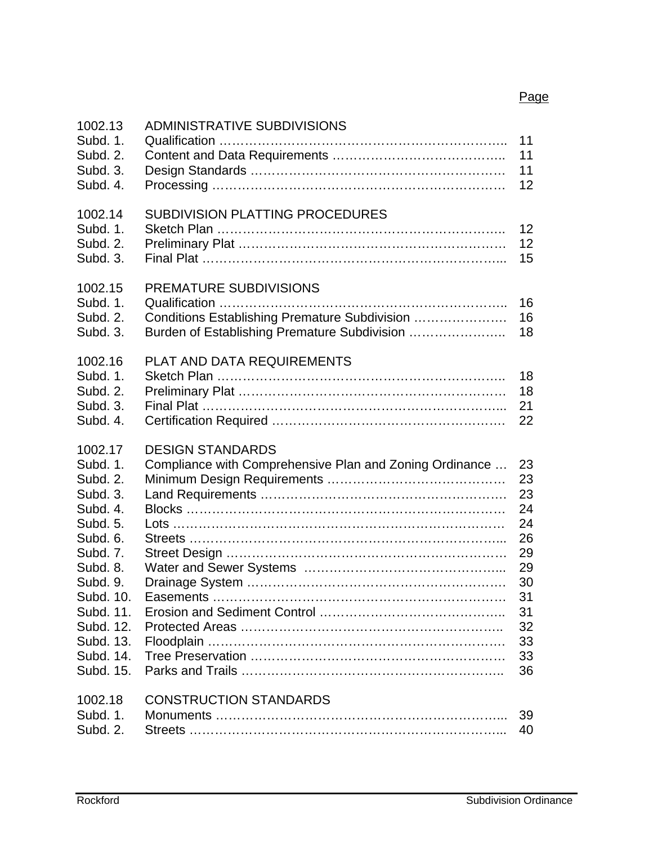| 1002.13<br>Subd. 1.<br>Subd. 2.<br>Subd. 3.<br>Subd. 4.                                                                                                                                           | <b>ADMINISTRATIVE SUBDIVISIONS</b>                                                                                      | 11<br>11<br>11<br>12                                                                   |
|---------------------------------------------------------------------------------------------------------------------------------------------------------------------------------------------------|-------------------------------------------------------------------------------------------------------------------------|----------------------------------------------------------------------------------------|
| 1002.14<br>Subd. 1.<br>Subd. 2.<br>Subd. 3.                                                                                                                                                       | SUBDIVISION PLATTING PROCEDURES                                                                                         | 12<br>12 <sup>2</sup><br>15                                                            |
| 1002.15<br>Subd. 1.<br>Subd. 2.<br>Subd. 3.                                                                                                                                                       | PREMATURE SUBDIVISIONS<br>Conditions Establishing Premature Subdivision<br>Burden of Establishing Premature Subdivision | 16<br>16<br>18                                                                         |
| 1002.16<br>Subd. 1.<br>Subd. 2.<br>Subd. 3.<br>Subd. 4.                                                                                                                                           | PLAT AND DATA REQUIREMENTS                                                                                              | 18<br>18<br>21<br>22                                                                   |
| 1002.17<br>Subd. 1.<br>Subd. 2.<br>Subd. 3.<br>Subd. 4.<br>Subd. 5.<br>Subd. 6.<br>Subd. 7.<br>Subd. 8.<br>Subd. 9.<br>Subd. 10.<br>Subd. 11.<br>Subd. 12.<br>Subd. 13.<br>Subd. 14.<br>Subd. 15. | <b>DESIGN STANDARDS</b><br>Compliance with Comprehensive Plan and Zoning Ordinance                                      | 23<br>23<br>23<br>24<br>24<br>26<br>29<br>29<br>30<br>31<br>31<br>32<br>33<br>33<br>36 |
| 1002.18<br>Subd. 1.<br>Subd. 2.                                                                                                                                                                   | <b>CONSTRUCTION STANDARDS</b>                                                                                           | 39<br>40                                                                               |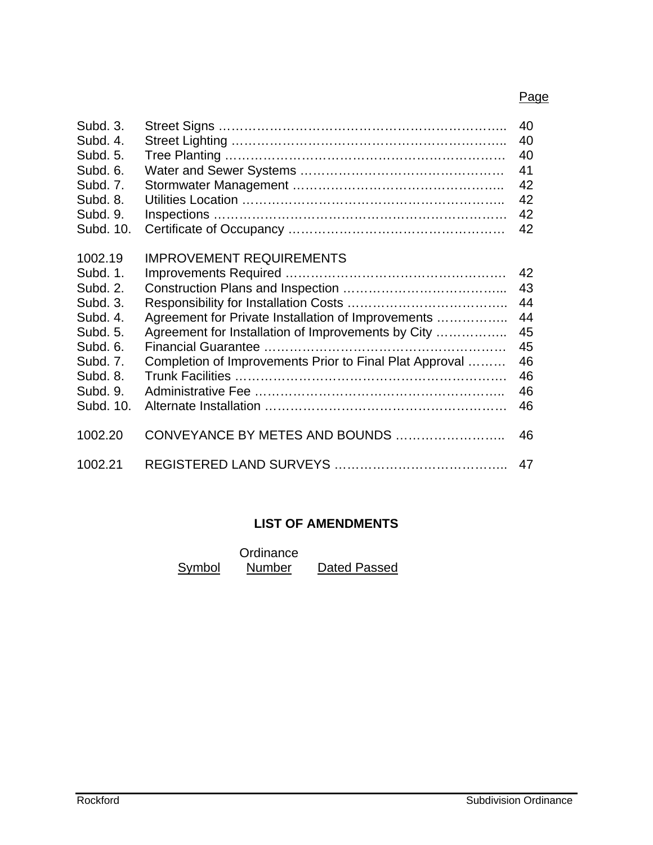#### Page

| Subd. 3.<br>Subd. 4.<br>Subd. 5.<br>Subd. 6.<br>Subd. 7.<br>Subd. 8.<br>Subd. 9.                                                 |                                                                                                                                                                                                        | 40<br>40<br>40<br>41<br>42<br>42<br>42                   |
|----------------------------------------------------------------------------------------------------------------------------------|--------------------------------------------------------------------------------------------------------------------------------------------------------------------------------------------------------|----------------------------------------------------------|
| Subd. 10.                                                                                                                        |                                                                                                                                                                                                        | 42                                                       |
| 1002.19<br>Subd. 1.<br>Subd. 2.<br>Subd. 3.<br>Subd. 4.<br>Subd. 5.<br>Subd. 6.<br>Subd. 7.<br>Subd. 8.<br>Subd. 9.<br>Subd. 10. | <b>IMPROVEMENT REQUIREMENTS</b><br>Agreement for Private Installation of Improvements<br>Agreement for Installation of Improvements by City<br>Completion of Improvements Prior to Final Plat Approval | 42<br>43<br>44<br>44<br>45<br>45<br>46<br>46<br>46<br>46 |
| 1002.20                                                                                                                          | CONVEYANCE BY METES AND BOUNDS                                                                                                                                                                         | 46                                                       |
| 1002.21                                                                                                                          |                                                                                                                                                                                                        | 47                                                       |

## **LIST OF AMENDMENTS**

|        | Ordinance     |              |
|--------|---------------|--------------|
| Symbol | <b>Number</b> | Dated Passed |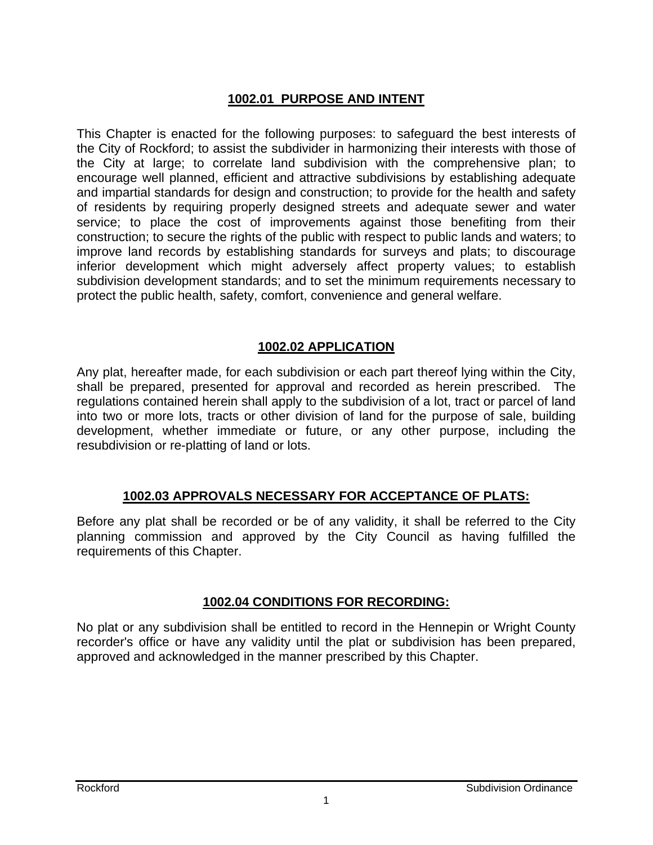## **1002.01 PURPOSE AND INTENT**

This Chapter is enacted for the following purposes: to safeguard the best interests of the City of Rockford; to assist the subdivider in harmonizing their interests with those of the City at large; to correlate land subdivision with the comprehensive plan; to encourage well planned, efficient and attractive subdivisions by establishing adequate and impartial standards for design and construction; to provide for the health and safety of residents by requiring properly designed streets and adequate sewer and water service; to place the cost of improvements against those benefiting from their construction; to secure the rights of the public with respect to public lands and waters; to improve land records by establishing standards for surveys and plats; to discourage inferior development which might adversely affect property values; to establish subdivision development standards; and to set the minimum requirements necessary to protect the public health, safety, comfort, convenience and general welfare.

#### **1002.02 APPLICATION**

Any plat, hereafter made, for each subdivision or each part thereof lying within the City, shall be prepared, presented for approval and recorded as herein prescribed. The regulations contained herein shall apply to the subdivision of a lot, tract or parcel of land into two or more lots, tracts or other division of land for the purpose of sale, building development, whether immediate or future, or any other purpose, including the resubdivision or re-platting of land or lots.

## **1002.03 APPROVALS NECESSARY FOR ACCEPTANCE OF PLATS:**

Before any plat shall be recorded or be of any validity, it shall be referred to the City planning commission and approved by the City Council as having fulfilled the requirements of this Chapter.

## **1002.04 CONDITIONS FOR RECORDING:**

No plat or any subdivision shall be entitled to record in the Hennepin or Wright County recorder's office or have any validity until the plat or subdivision has been prepared, approved and acknowledged in the manner prescribed by this Chapter.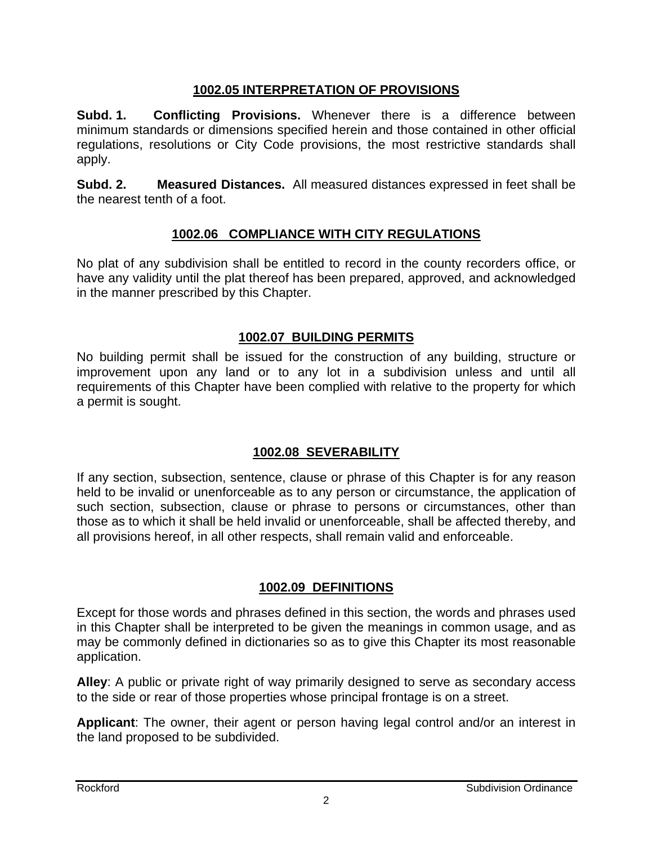## **1002.05 INTERPRETATION OF PROVISIONS**

**Subd. 1. Conflicting Provisions.** Whenever there is a difference between minimum standards or dimensions specified herein and those contained in other official regulations, resolutions or City Code provisions, the most restrictive standards shall apply.

**Subd. 2. Measured Distances.** All measured distances expressed in feet shall be the nearest tenth of a foot.

## **1002.06 COMPLIANCE WITH CITY REGULATIONS**

No plat of any subdivision shall be entitled to record in the county recorders office, or have any validity until the plat thereof has been prepared, approved, and acknowledged in the manner prescribed by this Chapter.

#### **1002.07 BUILDING PERMITS**

No building permit shall be issued for the construction of any building, structure or improvement upon any land or to any lot in a subdivision unless and until all requirements of this Chapter have been complied with relative to the property for which a permit is sought.

## **1002.08 SEVERABILITY**

If any section, subsection, sentence, clause or phrase of this Chapter is for any reason held to be invalid or unenforceable as to any person or circumstance, the application of such section, subsection, clause or phrase to persons or circumstances, other than those as to which it shall be held invalid or unenforceable, shall be affected thereby, and all provisions hereof, in all other respects, shall remain valid and enforceable.

## **1002.09 DEFINITIONS**

Except for those words and phrases defined in this section, the words and phrases used in this Chapter shall be interpreted to be given the meanings in common usage, and as may be commonly defined in dictionaries so as to give this Chapter its most reasonable application.

**Alley**: A public or private right of way primarily designed to serve as secondary access to the side or rear of those properties whose principal frontage is on a street.

**Applicant**: The owner, their agent or person having legal control and/or an interest in the land proposed to be subdivided.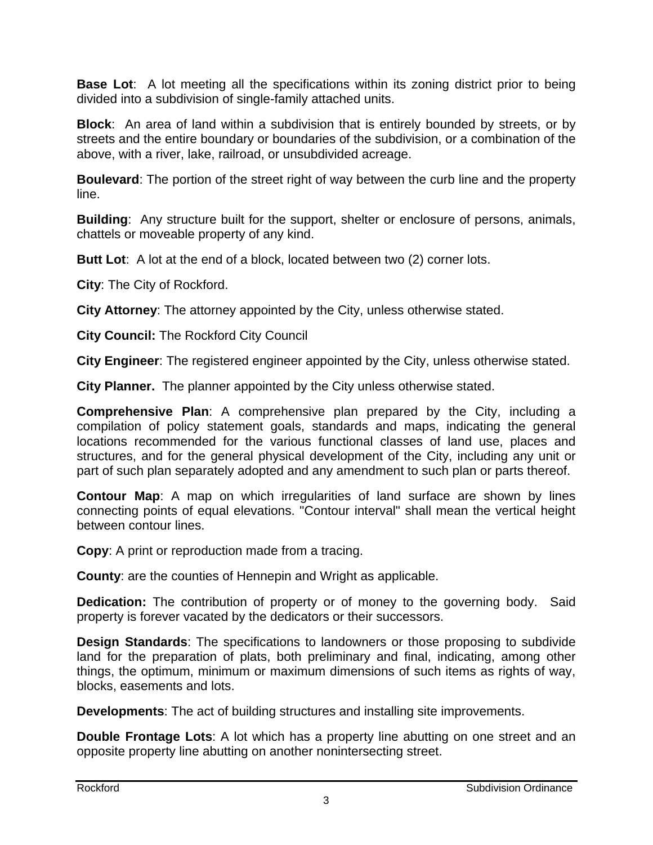**Base Lot**: A lot meeting all the specifications within its zoning district prior to being divided into a subdivision of single-family attached units.

**Block**: An area of land within a subdivision that is entirely bounded by streets, or by streets and the entire boundary or boundaries of the subdivision, or a combination of the above, with a river, lake, railroad, or unsubdivided acreage.

**Boulevard**: The portion of the street right of way between the curb line and the property line.

**Building**: Any structure built for the support, shelter or enclosure of persons, animals, chattels or moveable property of any kind.

**Butt Lot**: A lot at the end of a block, located between two (2) corner lots.

**City**: The City of Rockford.

**City Attorney**: The attorney appointed by the City, unless otherwise stated.

**City Council:** The Rockford City Council

**City Engineer**: The registered engineer appointed by the City, unless otherwise stated.

**City Planner.** The planner appointed by the City unless otherwise stated.

**Comprehensive Plan**: A comprehensive plan prepared by the City, including a compilation of policy statement goals, standards and maps, indicating the general locations recommended for the various functional classes of land use, places and structures, and for the general physical development of the City, including any unit or part of such plan separately adopted and any amendment to such plan or parts thereof.

**Contour Map**: A map on which irregularities of land surface are shown by lines connecting points of equal elevations. "Contour interval" shall mean the vertical height between contour lines.

**Copy**: A print or reproduction made from a tracing.

**County**: are the counties of Hennepin and Wright as applicable.

**Dedication:** The contribution of property or of money to the governing body. Said property is forever vacated by the dedicators or their successors.

**Design Standards**: The specifications to landowners or those proposing to subdivide land for the preparation of plats, both preliminary and final, indicating, among other things, the optimum, minimum or maximum dimensions of such items as rights of way, blocks, easements and lots.

**Developments**: The act of building structures and installing site improvements.

**Double Frontage Lots**: A lot which has a property line abutting on one street and an opposite property line abutting on another nonintersecting street.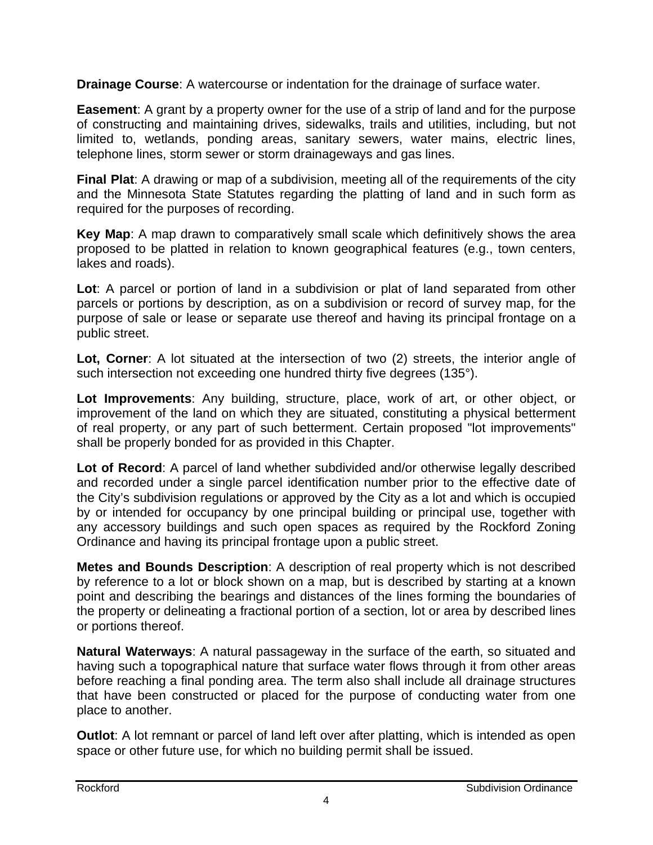**Drainage Course**: A watercourse or indentation for the drainage of surface water.

**Easement**: A grant by a property owner for the use of a strip of land and for the purpose of constructing and maintaining drives, sidewalks, trails and utilities, including, but not limited to, wetlands, ponding areas, sanitary sewers, water mains, electric lines, telephone lines, storm sewer or storm drainageways and gas lines.

**Final Plat**: A drawing or map of a subdivision, meeting all of the requirements of the city and the Minnesota State Statutes regarding the platting of land and in such form as required for the purposes of recording.

**Key Map**: A map drawn to comparatively small scale which definitively shows the area proposed to be platted in relation to known geographical features (e.g., town centers, lakes and roads).

**Lot**: A parcel or portion of land in a subdivision or plat of land separated from other parcels or portions by description, as on a subdivision or record of survey map, for the purpose of sale or lease or separate use thereof and having its principal frontage on a public street.

**Lot, Corner**: A lot situated at the intersection of two (2) streets, the interior angle of such intersection not exceeding one hundred thirty five degrees (135°).

**Lot Improvements**: Any building, structure, place, work of art, or other object, or improvement of the land on which they are situated, constituting a physical betterment of real property, or any part of such betterment. Certain proposed "lot improvements" shall be properly bonded for as provided in this Chapter.

**Lot of Record**: A parcel of land whether subdivided and/or otherwise legally described and recorded under a single parcel identification number prior to the effective date of the City's subdivision regulations or approved by the City as a lot and which is occupied by or intended for occupancy by one principal building or principal use, together with any accessory buildings and such open spaces as required by the Rockford Zoning Ordinance and having its principal frontage upon a public street.

**Metes and Bounds Description**: A description of real property which is not described by reference to a lot or block shown on a map, but is described by starting at a known point and describing the bearings and distances of the lines forming the boundaries of the property or delineating a fractional portion of a section, lot or area by described lines or portions thereof.

**Natural Waterways**: A natural passageway in the surface of the earth, so situated and having such a topographical nature that surface water flows through it from other areas before reaching a final ponding area. The term also shall include all drainage structures that have been constructed or placed for the purpose of conducting water from one place to another.

**Outlot**: A lot remnant or parcel of land left over after platting, which is intended as open space or other future use, for which no building permit shall be issued.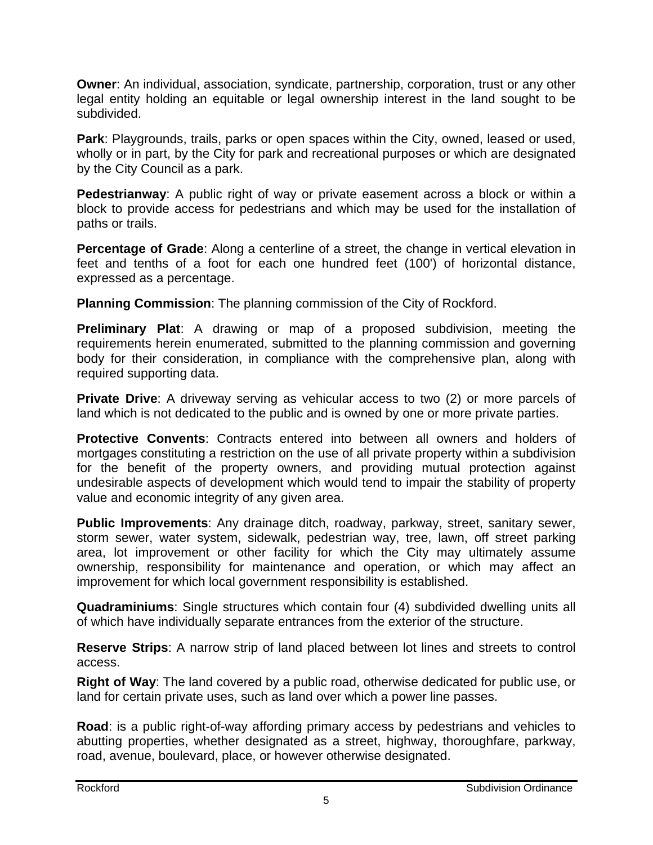**Owner:** An individual, association, syndicate, partnership, corporation, trust or any other legal entity holding an equitable or legal ownership interest in the land sought to be subdivided.

**Park**: Playgrounds, trails, parks or open spaces within the City, owned, leased or used, wholly or in part, by the City for park and recreational purposes or which are designated by the City Council as a park.

**Pedestrianway**: A public right of way or private easement across a block or within a block to provide access for pedestrians and which may be used for the installation of paths or trails.

**Percentage of Grade**: Along a centerline of a street, the change in vertical elevation in feet and tenths of a foot for each one hundred feet (100') of horizontal distance, expressed as a percentage.

**Planning Commission**: The planning commission of the City of Rockford.

**Preliminary Plat**: A drawing or map of a proposed subdivision, meeting the requirements herein enumerated, submitted to the planning commission and governing body for their consideration, in compliance with the comprehensive plan, along with required supporting data.

**Private Drive**: A driveway serving as vehicular access to two (2) or more parcels of land which is not dedicated to the public and is owned by one or more private parties.

**Protective Convents**: Contracts entered into between all owners and holders of mortgages constituting a restriction on the use of all private property within a subdivision for the benefit of the property owners, and providing mutual protection against undesirable aspects of development which would tend to impair the stability of property value and economic integrity of any given area.

**Public Improvements**: Any drainage ditch, roadway, parkway, street, sanitary sewer, storm sewer, water system, sidewalk, pedestrian way, tree, lawn, off street parking area, lot improvement or other facility for which the City may ultimately assume ownership, responsibility for maintenance and operation, or which may affect an improvement for which local government responsibility is established.

**Quadraminiums**: Single structures which contain four (4) subdivided dwelling units all of which have individually separate entrances from the exterior of the structure.

**Reserve Strips**: A narrow strip of land placed between lot lines and streets to control access.

**Right of Way**: The land covered by a public road, otherwise dedicated for public use, or land for certain private uses, such as land over which a power line passes.

**Road**: is a public right-of-way affording primary access by pedestrians and vehicles to abutting properties, whether designated as a street, highway, thoroughfare, parkway, road, avenue, boulevard, place, or however otherwise designated.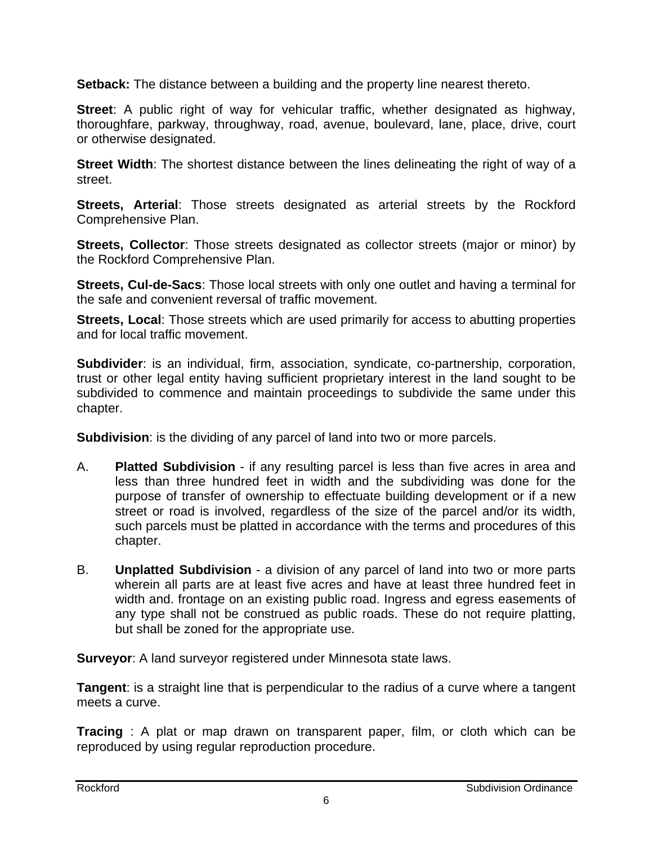**Setback:** The distance between a building and the property line nearest thereto.

**Street**: A public right of way for vehicular traffic, whether designated as highway, thoroughfare, parkway, throughway, road, avenue, boulevard, lane, place, drive, court or otherwise designated.

**Street Width**: The shortest distance between the lines delineating the right of way of a street.

**Streets, Arterial**: Those streets designated as arterial streets by the Rockford Comprehensive Plan.

**Streets, Collector**: Those streets designated as collector streets (major or minor) by the Rockford Comprehensive Plan.

**Streets, Cul-de-Sacs**: Those local streets with only one outlet and having a terminal for the safe and convenient reversal of traffic movement.

**Streets, Local:** Those streets which are used primarily for access to abutting properties and for local traffic movement.

**Subdivider**: is an individual, firm, association, syndicate, co-partnership, corporation, trust or other legal entity having sufficient proprietary interest in the land sought to be subdivided to commence and maintain proceedings to subdivide the same under this chapter.

**Subdivision**: is the dividing of any parcel of land into two or more parcels.

- A. **Platted Subdivision** if any resulting parcel is less than five acres in area and less than three hundred feet in width and the subdividing was done for the purpose of transfer of ownership to effectuate building development or if a new street or road is involved, regardless of the size of the parcel and/or its width, such parcels must be platted in accordance with the terms and procedures of this chapter.
- B. **Unplatted Subdivision** a division of any parcel of land into two or more parts wherein all parts are at least five acres and have at least three hundred feet in width and. frontage on an existing public road. Ingress and egress easements of any type shall not be construed as public roads. These do not require platting, but shall be zoned for the appropriate use.

**Surveyor**: A land surveyor registered under Minnesota state laws.

**Tangent**: is a straight line that is perpendicular to the radius of a curve where a tangent meets a curve.

**Tracing** : A plat or map drawn on transparent paper, film, or cloth which can be reproduced by using regular reproduction procedure.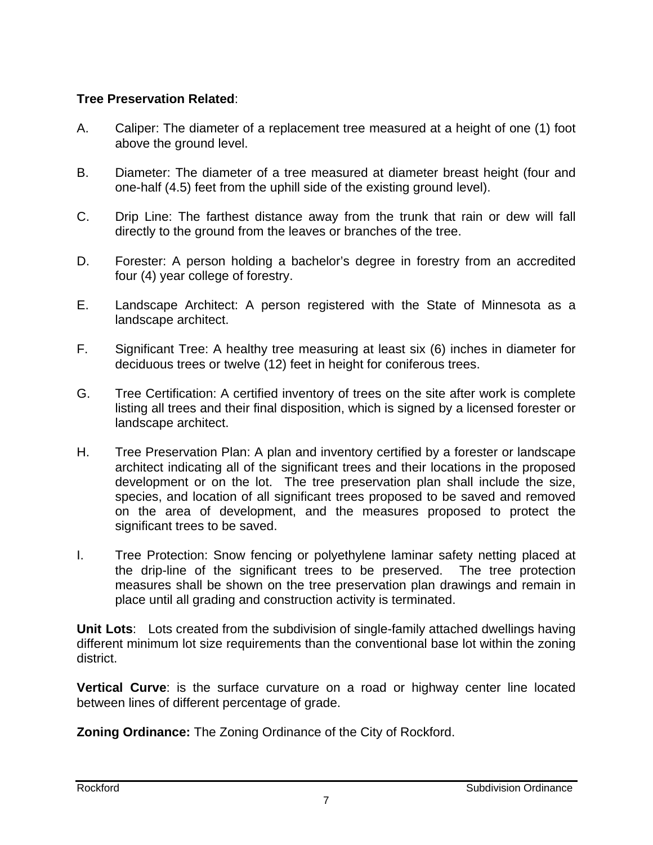#### **Tree Preservation Related**:

- A. Caliper: The diameter of a replacement tree measured at a height of one (1) foot above the ground level.
- B. Diameter: The diameter of a tree measured at diameter breast height (four and one-half (4.5) feet from the uphill side of the existing ground level).
- C. Drip Line: The farthest distance away from the trunk that rain or dew will fall directly to the ground from the leaves or branches of the tree.
- D. Forester: A person holding a bachelor's degree in forestry from an accredited four (4) year college of forestry.
- E. Landscape Architect: A person registered with the State of Minnesota as a landscape architect.
- F. Significant Tree: A healthy tree measuring at least six (6) inches in diameter for deciduous trees or twelve (12) feet in height for coniferous trees.
- G. Tree Certification: A certified inventory of trees on the site after work is complete listing all trees and their final disposition, which is signed by a licensed forester or landscape architect.
- H. Tree Preservation Plan: A plan and inventory certified by a forester or landscape architect indicating all of the significant trees and their locations in the proposed development or on the lot. The tree preservation plan shall include the size, species, and location of all significant trees proposed to be saved and removed on the area of development, and the measures proposed to protect the significant trees to be saved.
- I. Tree Protection: Snow fencing or polyethylene laminar safety netting placed at the drip-line of the significant trees to be preserved. The tree protection measures shall be shown on the tree preservation plan drawings and remain in place until all grading and construction activity is terminated.

**Unit Lots**:Lots created from the subdivision of single-family attached dwellings having different minimum lot size requirements than the conventional base lot within the zoning district.

**Vertical Curve**: is the surface curvature on a road or highway center line located between lines of different percentage of grade.

**Zoning Ordinance:** The Zoning Ordinance of the City of Rockford.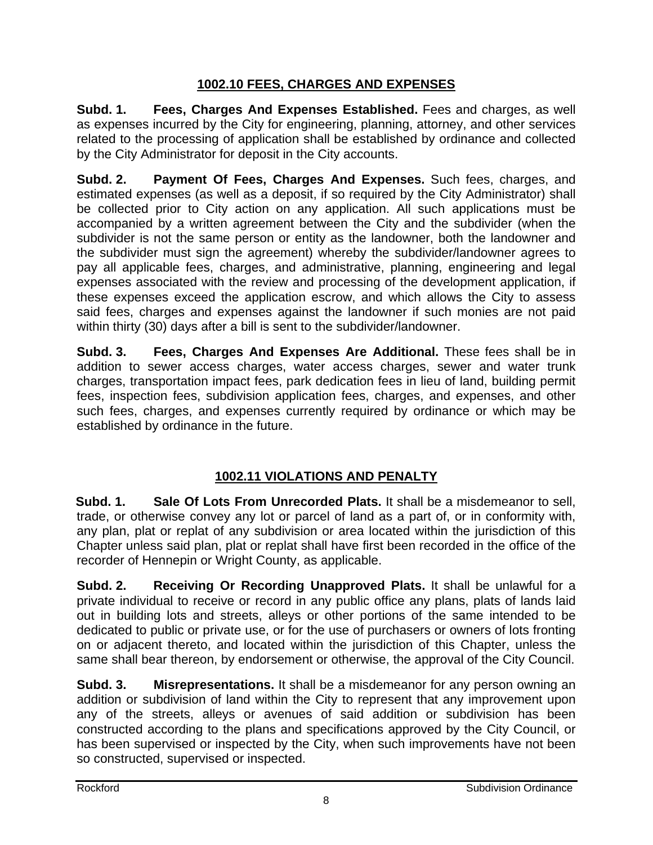## **1002.10 FEES, CHARGES AND EXPENSES**

**Subd. 1. Fees, Charges And Expenses Established.** Fees and charges, as well as expenses incurred by the City for engineering, planning, attorney, and other services related to the processing of application shall be established by ordinance and collected by the City Administrator for deposit in the City accounts.

**Subd. 2. Payment Of Fees, Charges And Expenses.** Such fees, charges, and estimated expenses (as well as a deposit, if so required by the City Administrator) shall be collected prior to City action on any application. All such applications must be accompanied by a written agreement between the City and the subdivider (when the subdivider is not the same person or entity as the landowner, both the landowner and the subdivider must sign the agreement) whereby the subdivider/landowner agrees to pay all applicable fees, charges, and administrative, planning, engineering and legal expenses associated with the review and processing of the development application, if these expenses exceed the application escrow, and which allows the City to assess said fees, charges and expenses against the landowner if such monies are not paid within thirty (30) days after a bill is sent to the subdivider/landowner.

**Subd. 3. Fees, Charges And Expenses Are Additional.** These fees shall be in addition to sewer access charges, water access charges, sewer and water trunk charges, transportation impact fees, park dedication fees in lieu of land, building permit fees, inspection fees, subdivision application fees, charges, and expenses, and other such fees, charges, and expenses currently required by ordinance or which may be established by ordinance in the future.

# **1002.11 VIOLATIONS AND PENALTY**

**Subd. 1. Sale Of Lots From Unrecorded Plats.** It shall be a misdemeanor to sell, trade, or otherwise convey any lot or parcel of land as a part of, or in conformity with, any plan, plat or replat of any subdivision or area located within the jurisdiction of this Chapter unless said plan, plat or replat shall have first been recorded in the office of the recorder of Hennepin or Wright County, as applicable.

**Subd. 2. Receiving Or Recording Unapproved Plats.** It shall be unlawful for a private individual to receive or record in any public office any plans, plats of lands laid out in building lots and streets, alleys or other portions of the same intended to be dedicated to public or private use, or for the use of purchasers or owners of lots fronting on or adjacent thereto, and located within the jurisdiction of this Chapter, unless the same shall bear thereon, by endorsement or otherwise, the approval of the City Council.

**Subd. 3. Misrepresentations.** It shall be a misdemeanor for any person owning an addition or subdivision of land within the City to represent that any improvement upon any of the streets, alleys or avenues of said addition or subdivision has been constructed according to the plans and specifications approved by the City Council, or has been supervised or inspected by the City, when such improvements have not been so constructed, supervised or inspected.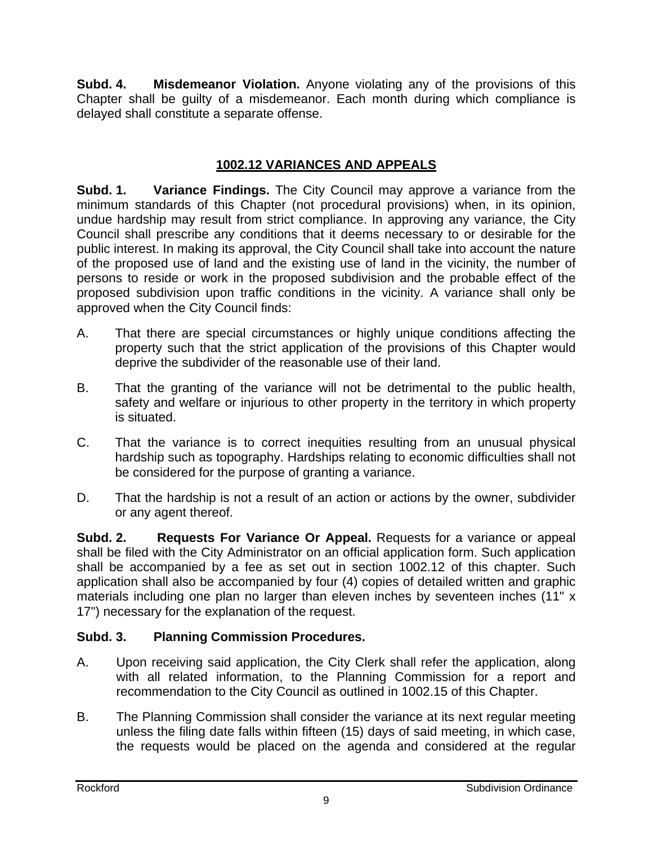**Subd. 4. Misdemeanor Violation.** Anyone violating any of the provisions of this Chapter shall be guilty of a misdemeanor. Each month during which compliance is delayed shall constitute a separate offense.

## **1002.12 VARIANCES AND APPEALS**

**Subd. 1. Variance Findings.** The City Council may approve a variance from the minimum standards of this Chapter (not procedural provisions) when, in its opinion, undue hardship may result from strict compliance. In approving any variance, the City Council shall prescribe any conditions that it deems necessary to or desirable for the public interest. In making its approval, the City Council shall take into account the nature of the proposed use of land and the existing use of land in the vicinity, the number of persons to reside or work in the proposed subdivision and the probable effect of the proposed subdivision upon traffic conditions in the vicinity. A variance shall only be approved when the City Council finds:

- A. That there are special circumstances or highly unique conditions affecting the property such that the strict application of the provisions of this Chapter would deprive the subdivider of the reasonable use of their land.
- B. That the granting of the variance will not be detrimental to the public health, safety and welfare or injurious to other property in the territory in which property is situated.
- C. That the variance is to correct inequities resulting from an unusual physical hardship such as topography. Hardships relating to economic difficulties shall not be considered for the purpose of granting a variance.
- D. That the hardship is not a result of an action or actions by the owner, subdivider or any agent thereof.

**Subd. 2. Requests For Variance Or Appeal.** Requests for a variance or appeal shall be filed with the City Administrator on an official application form. Such application shall be accompanied by a fee as set out in section 1002.12 of this chapter. Such application shall also be accompanied by four (4) copies of detailed written and graphic materials including one plan no larger than eleven inches by seventeen inches (11" x 17") necessary for the explanation of the request.

## **Subd. 3. Planning Commission Procedures.**

- A. Upon receiving said application, the City Clerk shall refer the application, along with all related information, to the Planning Commission for a report and recommendation to the City Council as outlined in 1002.15 of this Chapter.
- B. The Planning Commission shall consider the variance at its next regular meeting unless the filing date falls within fifteen (15) days of said meeting, in which case, the requests would be placed on the agenda and considered at the regular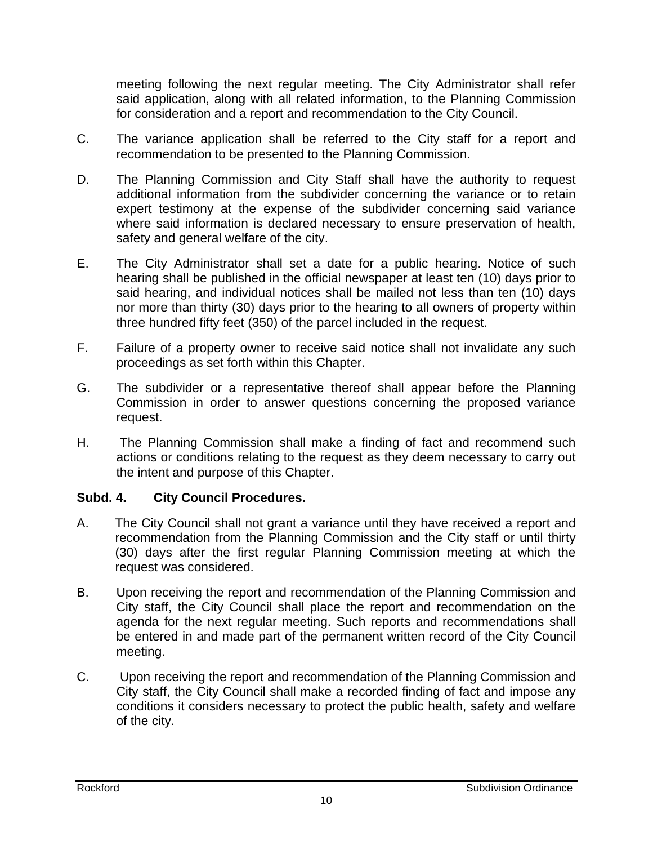meeting following the next regular meeting. The City Administrator shall refer said application, along with all related information, to the Planning Commission for consideration and a report and recommendation to the City Council.

- C. The variance application shall be referred to the City staff for a report and recommendation to be presented to the Planning Commission.
- D. The Planning Commission and City Staff shall have the authority to request additional information from the subdivider concerning the variance or to retain expert testimony at the expense of the subdivider concerning said variance where said information is declared necessary to ensure preservation of health, safety and general welfare of the city.
- E. The City Administrator shall set a date for a public hearing. Notice of such hearing shall be published in the official newspaper at least ten (10) days prior to said hearing, and individual notices shall be mailed not less than ten (10) days nor more than thirty (30) days prior to the hearing to all owners of property within three hundred fifty feet (350) of the parcel included in the request.
- F. Failure of a property owner to receive said notice shall not invalidate any such proceedings as set forth within this Chapter.
- G. The subdivider or a representative thereof shall appear before the Planning Commission in order to answer questions concerning the proposed variance request.
- H. The Planning Commission shall make a finding of fact and recommend such actions or conditions relating to the request as they deem necessary to carry out the intent and purpose of this Chapter.

## **Subd. 4. City Council Procedures.**

- A. The City Council shall not grant a variance until they have received a report and recommendation from the Planning Commission and the City staff or until thirty (30) days after the first regular Planning Commission meeting at which the request was considered.
- B. Upon receiving the report and recommendation of the Planning Commission and City staff, the City Council shall place the report and recommendation on the agenda for the next regular meeting. Such reports and recommendations shall be entered in and made part of the permanent written record of the City Council meeting.
- C. Upon receiving the report and recommendation of the Planning Commission and City staff, the City Council shall make a recorded finding of fact and impose any conditions it considers necessary to protect the public health, safety and welfare of the city.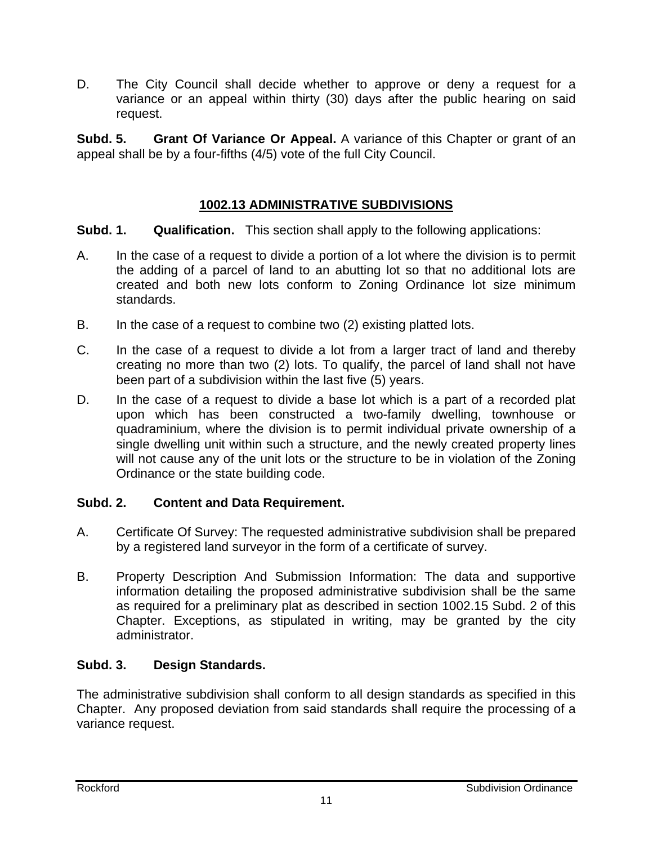D. The City Council shall decide whether to approve or deny a request for a variance or an appeal within thirty (30) days after the public hearing on said request.

**Subd. 5.** Grant Of Variance Or Appeal. A variance of this Chapter or grant of an appeal shall be by a four-fifths (4/5) vote of the full City Council.

## **1002.13 ADMINISTRATIVE SUBDIVISIONS**

#### **Subd. 1. Qualification.** This section shall apply to the following applications:

- A. In the case of a request to divide a portion of a lot where the division is to permit the adding of a parcel of land to an abutting lot so that no additional lots are created and both new lots conform to Zoning Ordinance lot size minimum standards.
- B. In the case of a request to combine two (2) existing platted lots.
- C. In the case of a request to divide a lot from a larger tract of land and thereby creating no more than two (2) lots. To qualify, the parcel of land shall not have been part of a subdivision within the last five (5) years.
- D. In the case of a request to divide a base lot which is a part of a recorded plat upon which has been constructed a two-family dwelling, townhouse or quadraminium, where the division is to permit individual private ownership of a single dwelling unit within such a structure, and the newly created property lines will not cause any of the unit lots or the structure to be in violation of the Zoning Ordinance or the state building code.

## **Subd. 2. Content and Data Requirement.**

- A. Certificate Of Survey: The requested administrative subdivision shall be prepared by a registered land surveyor in the form of a certificate of survey.
- B. Property Description And Submission Information: The data and supportive information detailing the proposed administrative subdivision shall be the same as required for a preliminary plat as described in section 1002.15 Subd. 2 of this Chapter. Exceptions, as stipulated in writing, may be granted by the city administrator.

## **Subd. 3. Design Standards.**

The administrative subdivision shall conform to all design standards as specified in this Chapter. Any proposed deviation from said standards shall require the processing of a variance request.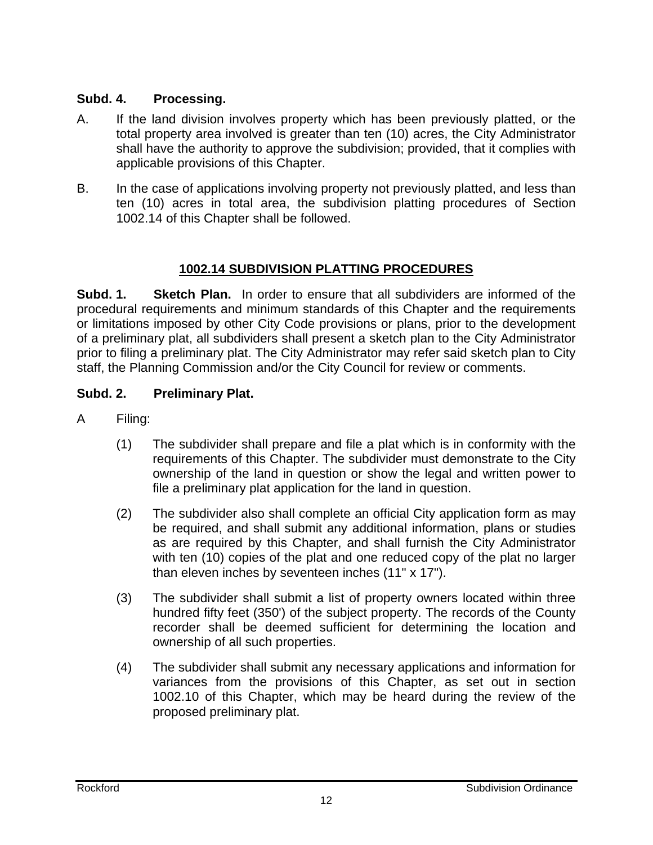## **Subd. 4. Processing.**

- A. If the land division involves property which has been previously platted, or the total property area involved is greater than ten (10) acres, the City Administrator shall have the authority to approve the subdivision; provided, that it complies with applicable provisions of this Chapter.
- B. In the case of applications involving property not previously platted, and less than ten (10) acres in total area, the subdivision platting procedures of Section 1002.14 of this Chapter shall be followed.

## **1002.14 SUBDIVISION PLATTING PROCEDURES**

**Subd. 1. Sketch Plan.** In order to ensure that all subdividers are informed of the procedural requirements and minimum standards of this Chapter and the requirements or limitations imposed by other City Code provisions or plans, prior to the development of a preliminary plat, all subdividers shall present a sketch plan to the City Administrator prior to filing a preliminary plat. The City Administrator may refer said sketch plan to City staff, the Planning Commission and/or the City Council for review or comments.

## **Subd. 2. Preliminary Plat.**

- A Filing:
	- (1) The subdivider shall prepare and file a plat which is in conformity with the requirements of this Chapter. The subdivider must demonstrate to the City ownership of the land in question or show the legal and written power to file a preliminary plat application for the land in question.
	- (2) The subdivider also shall complete an official City application form as may be required, and shall submit any additional information, plans or studies as are required by this Chapter, and shall furnish the City Administrator with ten (10) copies of the plat and one reduced copy of the plat no larger than eleven inches by seventeen inches (11" x 17").
	- (3) The subdivider shall submit a list of property owners located within three hundred fifty feet (350') of the subject property. The records of the County recorder shall be deemed sufficient for determining the location and ownership of all such properties.
	- (4) The subdivider shall submit any necessary applications and information for variances from the provisions of this Chapter, as set out in section 1002.10 of this Chapter, which may be heard during the review of the proposed preliminary plat.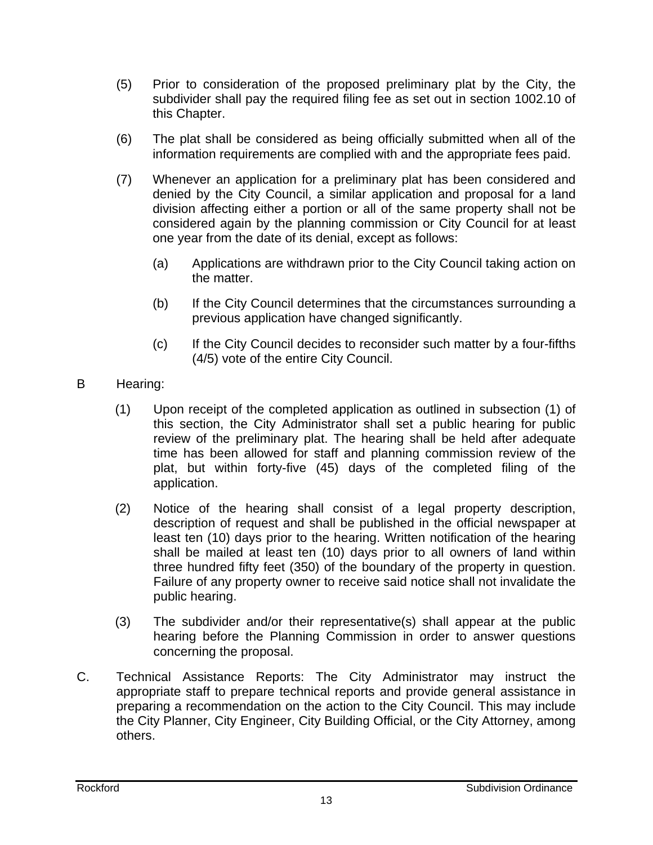- (5) Prior to consideration of the proposed preliminary plat by the City, the subdivider shall pay the required filing fee as set out in section 1002.10 of this Chapter.
- (6) The plat shall be considered as being officially submitted when all of the information requirements are complied with and the appropriate fees paid.
- (7) Whenever an application for a preliminary plat has been considered and denied by the City Council, a similar application and proposal for a land division affecting either a portion or all of the same property shall not be considered again by the planning commission or City Council for at least one year from the date of its denial, except as follows:
	- (a) Applications are withdrawn prior to the City Council taking action on the matter.
	- (b) If the City Council determines that the circumstances surrounding a previous application have changed significantly.
	- (c) If the City Council decides to reconsider such matter by a four-fifths (4/5) vote of the entire City Council.
- B Hearing:
	- (1) Upon receipt of the completed application as outlined in subsection (1) of this section, the City Administrator shall set a public hearing for public review of the preliminary plat. The hearing shall be held after adequate time has been allowed for staff and planning commission review of the plat, but within forty-five (45) days of the completed filing of the application.
	- (2) Notice of the hearing shall consist of a legal property description, description of request and shall be published in the official newspaper at least ten (10) days prior to the hearing. Written notification of the hearing shall be mailed at least ten (10) days prior to all owners of land within three hundred fifty feet (350) of the boundary of the property in question. Failure of any property owner to receive said notice shall not invalidate the public hearing.
	- (3) The subdivider and/or their representative(s) shall appear at the public hearing before the Planning Commission in order to answer questions concerning the proposal.
- C. Technical Assistance Reports: The City Administrator may instruct the appropriate staff to prepare technical reports and provide general assistance in preparing a recommendation on the action to the City Council. This may include the City Planner, City Engineer, City Building Official, or the City Attorney, among others.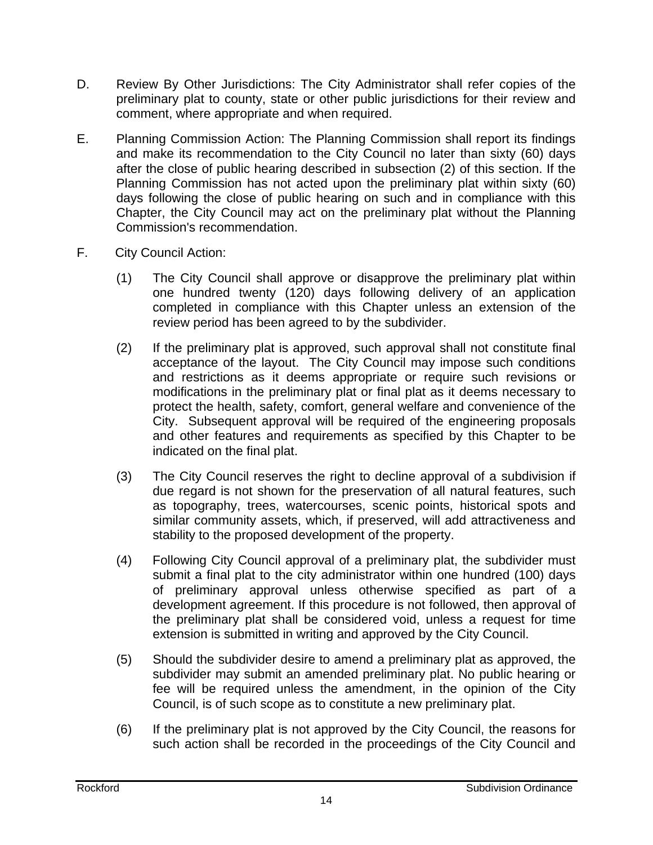- D. Review By Other Jurisdictions: The City Administrator shall refer copies of the preliminary plat to county, state or other public jurisdictions for their review and comment, where appropriate and when required.
- E. Planning Commission Action: The Planning Commission shall report its findings and make its recommendation to the City Council no later than sixty (60) days after the close of public hearing described in subsection (2) of this section. If the Planning Commission has not acted upon the preliminary plat within sixty (60) days following the close of public hearing on such and in compliance with this Chapter, the City Council may act on the preliminary plat without the Planning Commission's recommendation.
- F. City Council Action:
	- (1) The City Council shall approve or disapprove the preliminary plat within one hundred twenty (120) days following delivery of an application completed in compliance with this Chapter unless an extension of the review period has been agreed to by the subdivider.
	- (2) If the preliminary plat is approved, such approval shall not constitute final acceptance of the layout. The City Council may impose such conditions and restrictions as it deems appropriate or require such revisions or modifications in the preliminary plat or final plat as it deems necessary to protect the health, safety, comfort, general welfare and convenience of the City. Subsequent approval will be required of the engineering proposals and other features and requirements as specified by this Chapter to be indicated on the final plat.
	- (3) The City Council reserves the right to decline approval of a subdivision if due regard is not shown for the preservation of all natural features, such as topography, trees, watercourses, scenic points, historical spots and similar community assets, which, if preserved, will add attractiveness and stability to the proposed development of the property.
	- (4) Following City Council approval of a preliminary plat, the subdivider must submit a final plat to the city administrator within one hundred (100) days of preliminary approval unless otherwise specified as part of a development agreement. If this procedure is not followed, then approval of the preliminary plat shall be considered void, unless a request for time extension is submitted in writing and approved by the City Council.
	- (5) Should the subdivider desire to amend a preliminary plat as approved, the subdivider may submit an amended preliminary plat. No public hearing or fee will be required unless the amendment, in the opinion of the City Council, is of such scope as to constitute a new preliminary plat.
	- (6) If the preliminary plat is not approved by the City Council, the reasons for such action shall be recorded in the proceedings of the City Council and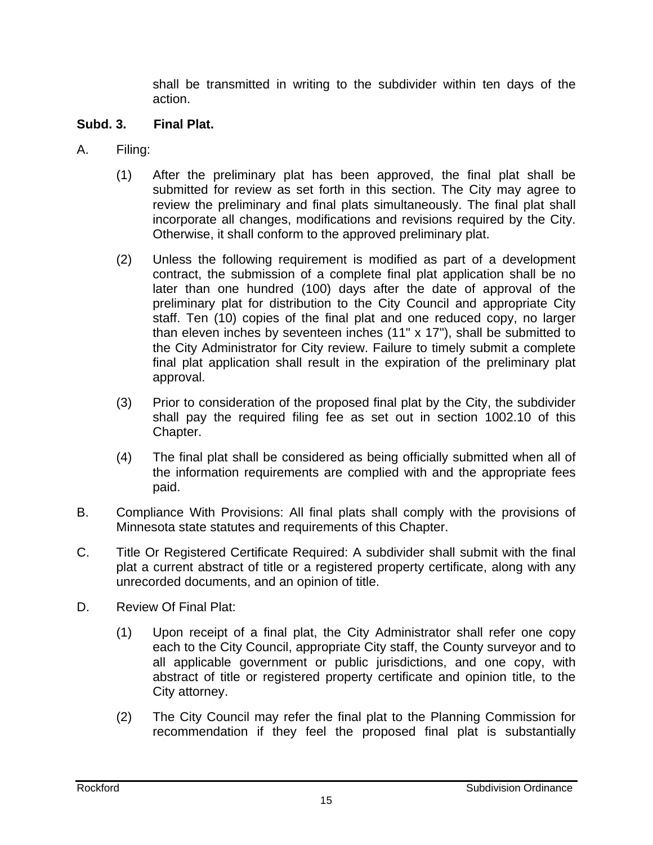shall be transmitted in writing to the subdivider within ten days of the action.

#### **Subd. 3. Final Plat.**

- A. Filing:
	- (1) After the preliminary plat has been approved, the final plat shall be submitted for review as set forth in this section. The City may agree to review the preliminary and final plats simultaneously. The final plat shall incorporate all changes, modifications and revisions required by the City. Otherwise, it shall conform to the approved preliminary plat.
	- (2) Unless the following requirement is modified as part of a development contract, the submission of a complete final plat application shall be no later than one hundred (100) days after the date of approval of the preliminary plat for distribution to the City Council and appropriate City staff. Ten (10) copies of the final plat and one reduced copy, no larger than eleven inches by seventeen inches (11" x 17"), shall be submitted to the City Administrator for City review. Failure to timely submit a complete final plat application shall result in the expiration of the preliminary plat approval.
	- (3) Prior to consideration of the proposed final plat by the City, the subdivider shall pay the required filing fee as set out in section 1002.10 of this Chapter.
	- (4) The final plat shall be considered as being officially submitted when all of the information requirements are complied with and the appropriate fees paid.
- B. Compliance With Provisions: All final plats shall comply with the provisions of Minnesota state statutes and requirements of this Chapter.
- C. Title Or Registered Certificate Required: A subdivider shall submit with the final plat a current abstract of title or a registered property certificate, along with any unrecorded documents, and an opinion of title.
- D. Review Of Final Plat:
	- (1) Upon receipt of a final plat, the City Administrator shall refer one copy each to the City Council, appropriate City staff, the County surveyor and to all applicable government or public jurisdictions, and one copy, with abstract of title or registered property certificate and opinion title, to the City attorney.
	- (2) The City Council may refer the final plat to the Planning Commission for recommendation if they feel the proposed final plat is substantially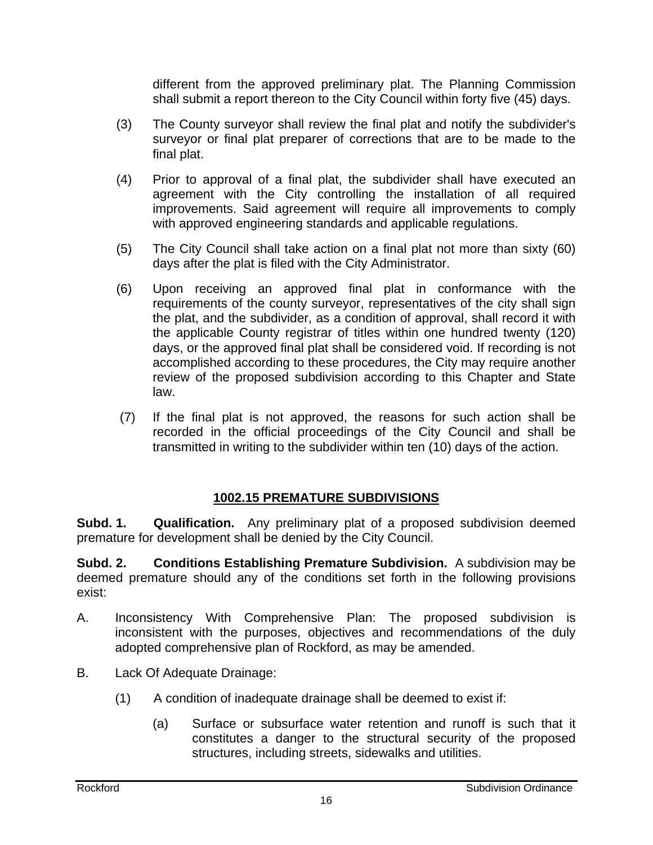different from the approved preliminary plat. The Planning Commission shall submit a report thereon to the City Council within forty five (45) days.

- (3) The County surveyor shall review the final plat and notify the subdivider's surveyor or final plat preparer of corrections that are to be made to the final plat.
- (4) Prior to approval of a final plat, the subdivider shall have executed an agreement with the City controlling the installation of all required improvements. Said agreement will require all improvements to comply with approved engineering standards and applicable regulations.
- (5) The City Council shall take action on a final plat not more than sixty (60) days after the plat is filed with the City Administrator.
- (6) Upon receiving an approved final plat in conformance with the requirements of the county surveyor, representatives of the city shall sign the plat, and the subdivider, as a condition of approval, shall record it with the applicable County registrar of titles within one hundred twenty (120) days, or the approved final plat shall be considered void. If recording is not accomplished according to these procedures, the City may require another review of the proposed subdivision according to this Chapter and State law.
- (7) If the final plat is not approved, the reasons for such action shall be recorded in the official proceedings of the City Council and shall be transmitted in writing to the subdivider within ten (10) days of the action.

## **1002.15 PREMATURE SUBDIVISIONS**

**Subd. 1. Qualification.** Any preliminary plat of a proposed subdivision deemed premature for development shall be denied by the City Council.

**Subd. 2. Conditions Establishing Premature Subdivision.** A subdivision may be deemed premature should any of the conditions set forth in the following provisions exist:

- A. Inconsistency With Comprehensive Plan: The proposed subdivision is inconsistent with the purposes, objectives and recommendations of the duly adopted comprehensive plan of Rockford, as may be amended.
- B. Lack Of Adequate Drainage:
	- (1) A condition of inadequate drainage shall be deemed to exist if:
		- (a) Surface or subsurface water retention and runoff is such that it constitutes a danger to the structural security of the proposed structures, including streets, sidewalks and utilities.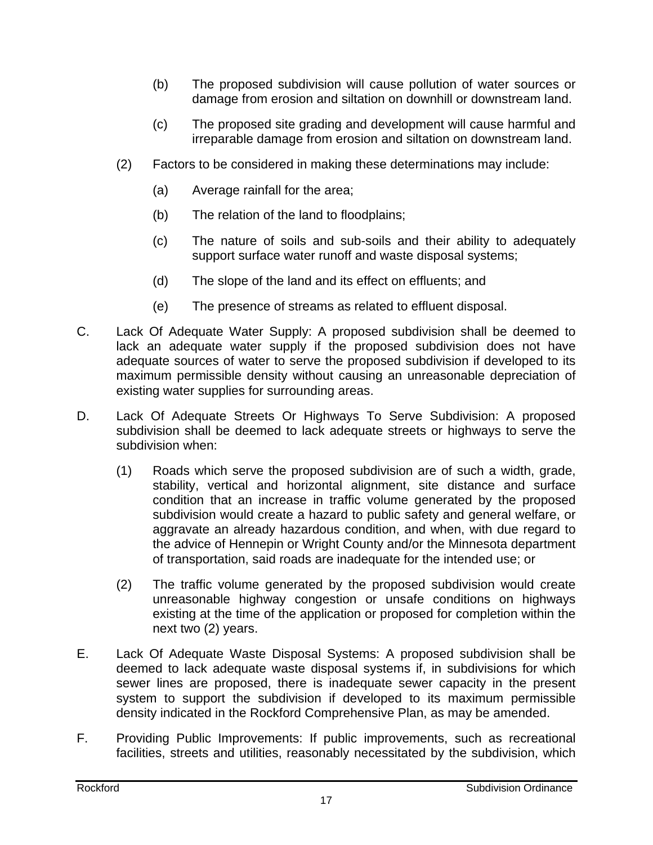- (b) The proposed subdivision will cause pollution of water sources or damage from erosion and siltation on downhill or downstream land.
- (c) The proposed site grading and development will cause harmful and irreparable damage from erosion and siltation on downstream land.
- (2) Factors to be considered in making these determinations may include:
	- (a) Average rainfall for the area;
	- (b) The relation of the land to floodplains;
	- (c) The nature of soils and sub-soils and their ability to adequately support surface water runoff and waste disposal systems;
	- (d) The slope of the land and its effect on effluents; and
	- (e) The presence of streams as related to effluent disposal.
- C. Lack Of Adequate Water Supply: A proposed subdivision shall be deemed to lack an adequate water supply if the proposed subdivision does not have adequate sources of water to serve the proposed subdivision if developed to its maximum permissible density without causing an unreasonable depreciation of existing water supplies for surrounding areas.
- D. Lack Of Adequate Streets Or Highways To Serve Subdivision: A proposed subdivision shall be deemed to lack adequate streets or highways to serve the subdivision when:
	- (1) Roads which serve the proposed subdivision are of such a width, grade, stability, vertical and horizontal alignment, site distance and surface condition that an increase in traffic volume generated by the proposed subdivision would create a hazard to public safety and general welfare, or aggravate an already hazardous condition, and when, with due regard to the advice of Hennepin or Wright County and/or the Minnesota department of transportation, said roads are inadequate for the intended use; or
	- (2) The traffic volume generated by the proposed subdivision would create unreasonable highway congestion or unsafe conditions on highways existing at the time of the application or proposed for completion within the next two (2) years.
- E. Lack Of Adequate Waste Disposal Systems: A proposed subdivision shall be deemed to lack adequate waste disposal systems if, in subdivisions for which sewer lines are proposed, there is inadequate sewer capacity in the present system to support the subdivision if developed to its maximum permissible density indicated in the Rockford Comprehensive Plan, as may be amended.
- F. Providing Public Improvements: If public improvements, such as recreational facilities, streets and utilities, reasonably necessitated by the subdivision, which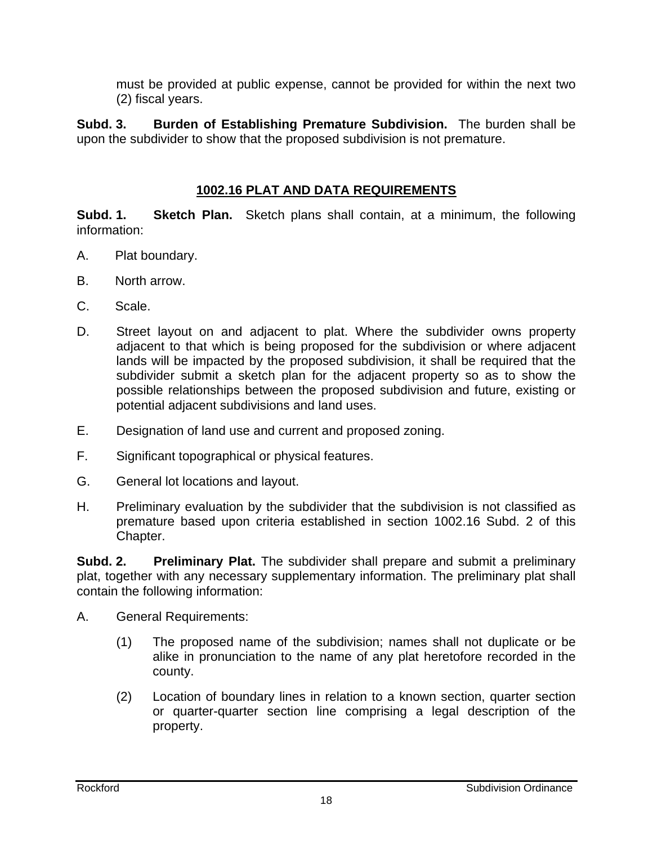must be provided at public expense, cannot be provided for within the next two (2) fiscal years.

**Subd. 3. Burden of Establishing Premature Subdivision.** The burden shall be upon the subdivider to show that the proposed subdivision is not premature.

#### **1002.16 PLAT AND DATA REQUIREMENTS**

**Subd. 1. Sketch Plan.** Sketch plans shall contain, at a minimum, the following information:

- A. Plat boundary.
- B. North arrow.
- C. Scale.
- D. Street layout on and adjacent to plat. Where the subdivider owns property adjacent to that which is being proposed for the subdivision or where adjacent lands will be impacted by the proposed subdivision, it shall be required that the subdivider submit a sketch plan for the adjacent property so as to show the possible relationships between the proposed subdivision and future, existing or potential adjacent subdivisions and land uses.
- E. Designation of land use and current and proposed zoning.
- F. Significant topographical or physical features.
- G. General lot locations and layout.
- H. Preliminary evaluation by the subdivider that the subdivision is not classified as premature based upon criteria established in section 1002.16 Subd. 2 of this Chapter.

**Subd. 2. Preliminary Plat.** The subdivider shall prepare and submit a preliminary plat, together with any necessary supplementary information. The preliminary plat shall contain the following information:

- A. General Requirements:
	- (1) The proposed name of the subdivision; names shall not duplicate or be alike in pronunciation to the name of any plat heretofore recorded in the county.
	- (2) Location of boundary lines in relation to a known section, quarter section or quarter-quarter section line comprising a legal description of the property.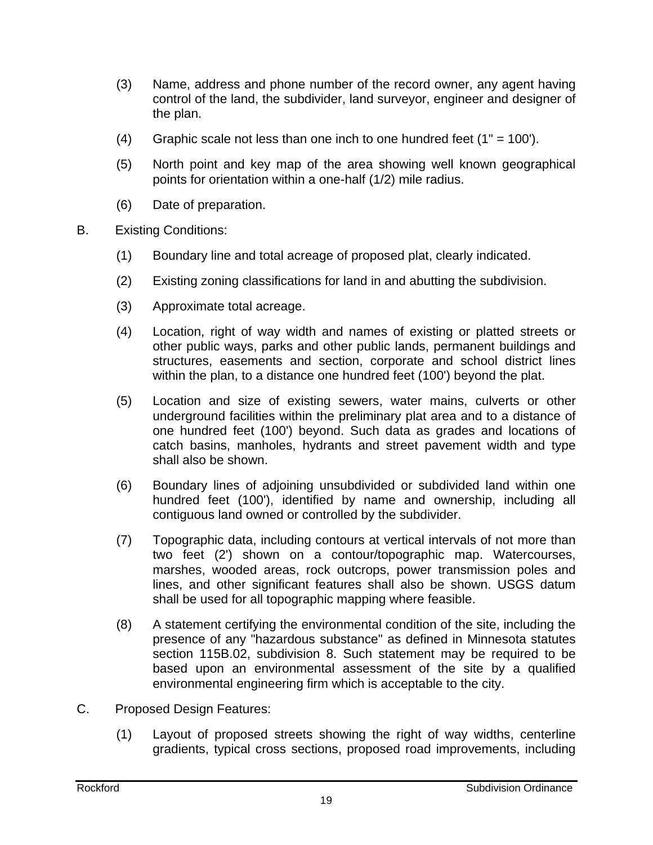- (3) Name, address and phone number of the record owner, any agent having control of the land, the subdivider, land surveyor, engineer and designer of the plan.
- (4) Graphic scale not less than one inch to one hundred feet  $(1" = 100')$ .
- (5) North point and key map of the area showing well known geographical points for orientation within a one-half (1/2) mile radius.
- (6) Date of preparation.
- B. Existing Conditions:
	- (1) Boundary line and total acreage of proposed plat, clearly indicated.
	- (2) Existing zoning classifications for land in and abutting the subdivision.
	- (3) Approximate total acreage.
	- (4) Location, right of way width and names of existing or platted streets or other public ways, parks and other public lands, permanent buildings and structures, easements and section, corporate and school district lines within the plan, to a distance one hundred feet (100') beyond the plat.
	- (5) Location and size of existing sewers, water mains, culverts or other underground facilities within the preliminary plat area and to a distance of one hundred feet (100') beyond. Such data as grades and locations of catch basins, manholes, hydrants and street pavement width and type shall also be shown.
	- (6) Boundary lines of adjoining unsubdivided or subdivided land within one hundred feet (100'), identified by name and ownership, including all contiguous land owned or controlled by the subdivider.
	- (7) Topographic data, including contours at vertical intervals of not more than two feet (2') shown on a contour/topographic map. Watercourses, marshes, wooded areas, rock outcrops, power transmission poles and lines, and other significant features shall also be shown. USGS datum shall be used for all topographic mapping where feasible.
	- (8) A statement certifying the environmental condition of the site, including the presence of any "hazardous substance" as defined in Minnesota statutes section 115B.02, subdivision 8. Such statement may be required to be based upon an environmental assessment of the site by a qualified environmental engineering firm which is acceptable to the city.
- C. Proposed Design Features:
	- (1) Layout of proposed streets showing the right of way widths, centerline gradients, typical cross sections, proposed road improvements, including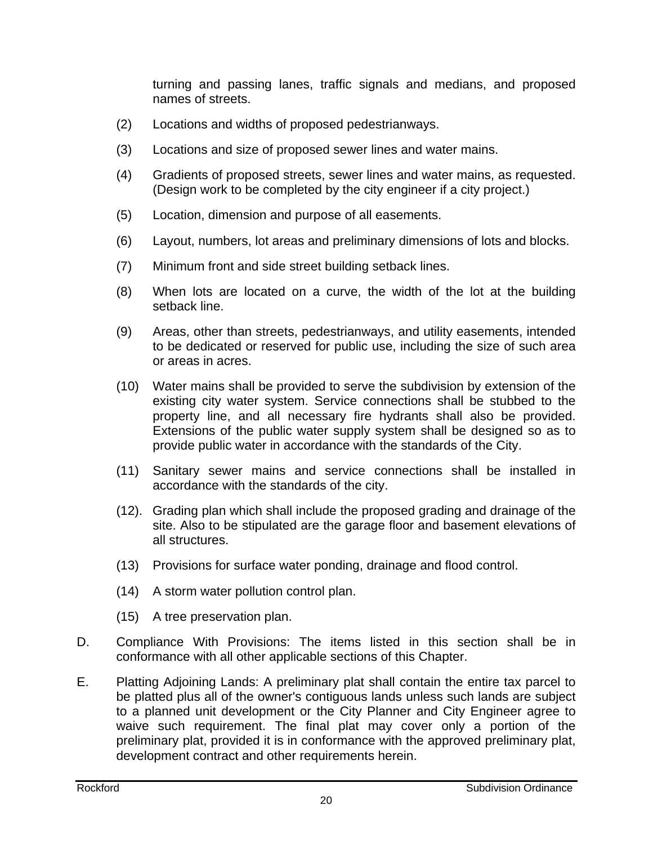turning and passing lanes, traffic signals and medians, and proposed names of streets.

- (2) Locations and widths of proposed pedestrianways.
- (3) Locations and size of proposed sewer lines and water mains.
- (4) Gradients of proposed streets, sewer lines and water mains, as requested. (Design work to be completed by the city engineer if a city project.)
- (5) Location, dimension and purpose of all easements.
- (6) Layout, numbers, lot areas and preliminary dimensions of lots and blocks.
- (7) Minimum front and side street building setback lines.
- (8) When lots are located on a curve, the width of the lot at the building setback line.
- (9) Areas, other than streets, pedestrianways, and utility easements, intended to be dedicated or reserved for public use, including the size of such area or areas in acres.
- (10) Water mains shall be provided to serve the subdivision by extension of the existing city water system. Service connections shall be stubbed to the property line, and all necessary fire hydrants shall also be provided. Extensions of the public water supply system shall be designed so as to provide public water in accordance with the standards of the City.
- (11) Sanitary sewer mains and service connections shall be installed in accordance with the standards of the city.
- (12). Grading plan which shall include the proposed grading and drainage of the site. Also to be stipulated are the garage floor and basement elevations of all structures.
- (13) Provisions for surface water ponding, drainage and flood control.
- (14) A storm water pollution control plan.
- (15) A tree preservation plan.
- D. Compliance With Provisions: The items listed in this section shall be in conformance with all other applicable sections of this Chapter.
- E. Platting Adjoining Lands: A preliminary plat shall contain the entire tax parcel to be platted plus all of the owner's contiguous lands unless such lands are subject to a planned unit development or the City Planner and City Engineer agree to waive such requirement. The final plat may cover only a portion of the preliminary plat, provided it is in conformance with the approved preliminary plat, development contract and other requirements herein.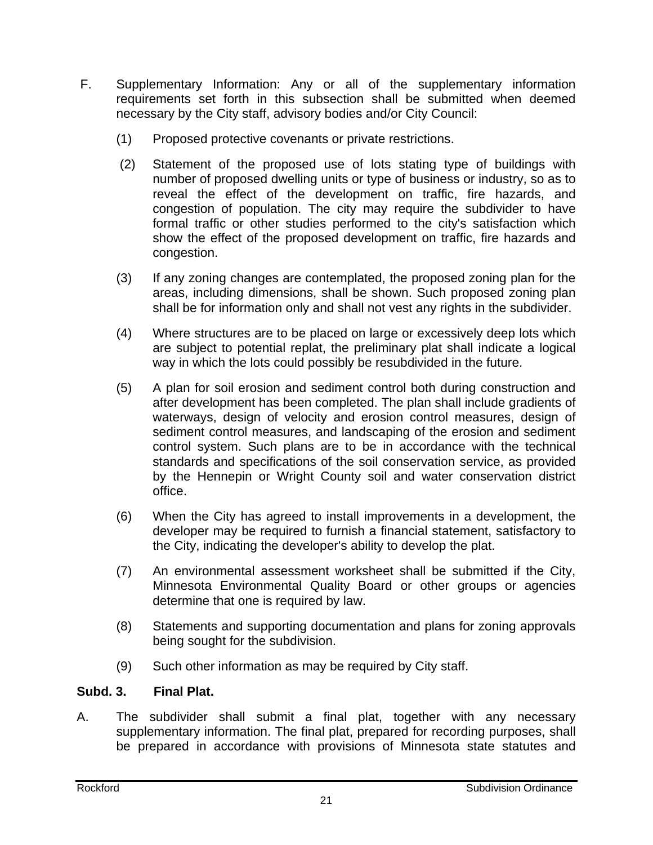- F. Supplementary Information: Any or all of the supplementary information requirements set forth in this subsection shall be submitted when deemed necessary by the City staff, advisory bodies and/or City Council:
	- (1) Proposed protective covenants or private restrictions.
	- (2) Statement of the proposed use of lots stating type of buildings with number of proposed dwelling units or type of business or industry, so as to reveal the effect of the development on traffic, fire hazards, and congestion of population. The city may require the subdivider to have formal traffic or other studies performed to the city's satisfaction which show the effect of the proposed development on traffic, fire hazards and congestion.
	- (3) If any zoning changes are contemplated, the proposed zoning plan for the areas, including dimensions, shall be shown. Such proposed zoning plan shall be for information only and shall not vest any rights in the subdivider.
	- (4) Where structures are to be placed on large or excessively deep lots which are subject to potential replat, the preliminary plat shall indicate a logical way in which the lots could possibly be resubdivided in the future.
	- (5) A plan for soil erosion and sediment control both during construction and after development has been completed. The plan shall include gradients of waterways, design of velocity and erosion control measures, design of sediment control measures, and landscaping of the erosion and sediment control system. Such plans are to be in accordance with the technical standards and specifications of the soil conservation service, as provided by the Hennepin or Wright County soil and water conservation district office.
	- (6) When the City has agreed to install improvements in a development, the developer may be required to furnish a financial statement, satisfactory to the City, indicating the developer's ability to develop the plat.
	- (7) An environmental assessment worksheet shall be submitted if the City, Minnesota Environmental Quality Board or other groups or agencies determine that one is required by law.
	- (8) Statements and supporting documentation and plans for zoning approvals being sought for the subdivision.
	- (9) Such other information as may be required by City staff.

## **Subd. 3. Final Plat.**

A. The subdivider shall submit a final plat, together with any necessary supplementary information. The final plat, prepared for recording purposes, shall be prepared in accordance with provisions of Minnesota state statutes and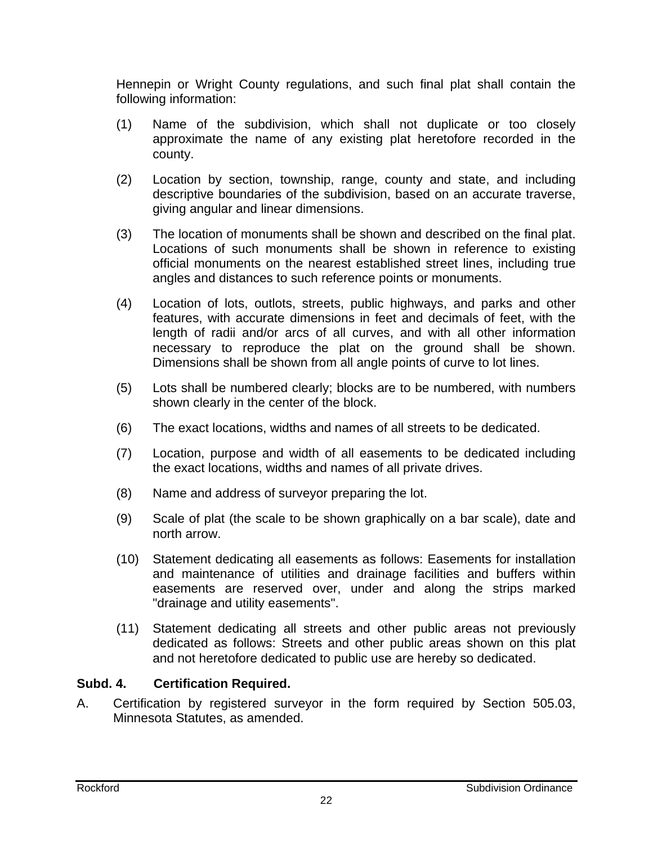Hennepin or Wright County regulations, and such final plat shall contain the following information:

- (1) Name of the subdivision, which shall not duplicate or too closely approximate the name of any existing plat heretofore recorded in the county.
- (2) Location by section, township, range, county and state, and including descriptive boundaries of the subdivision, based on an accurate traverse, giving angular and linear dimensions.
- (3) The location of monuments shall be shown and described on the final plat. Locations of such monuments shall be shown in reference to existing official monuments on the nearest established street lines, including true angles and distances to such reference points or monuments.
- (4) Location of lots, outlots, streets, public highways, and parks and other features, with accurate dimensions in feet and decimals of feet, with the length of radii and/or arcs of all curves, and with all other information necessary to reproduce the plat on the ground shall be shown. Dimensions shall be shown from all angle points of curve to lot lines.
- (5) Lots shall be numbered clearly; blocks are to be numbered, with numbers shown clearly in the center of the block.
- (6) The exact locations, widths and names of all streets to be dedicated.
- (7) Location, purpose and width of all easements to be dedicated including the exact locations, widths and names of all private drives.
- (8) Name and address of surveyor preparing the lot.
- (9) Scale of plat (the scale to be shown graphically on a bar scale), date and north arrow.
- (10) Statement dedicating all easements as follows: Easements for installation and maintenance of utilities and drainage facilities and buffers within easements are reserved over, under and along the strips marked "drainage and utility easements".
- (11) Statement dedicating all streets and other public areas not previously dedicated as follows: Streets and other public areas shown on this plat and not heretofore dedicated to public use are hereby so dedicated.

## **Subd. 4. Certification Required.**

A. Certification by registered surveyor in the form required by Section 505.03, Minnesota Statutes, as amended.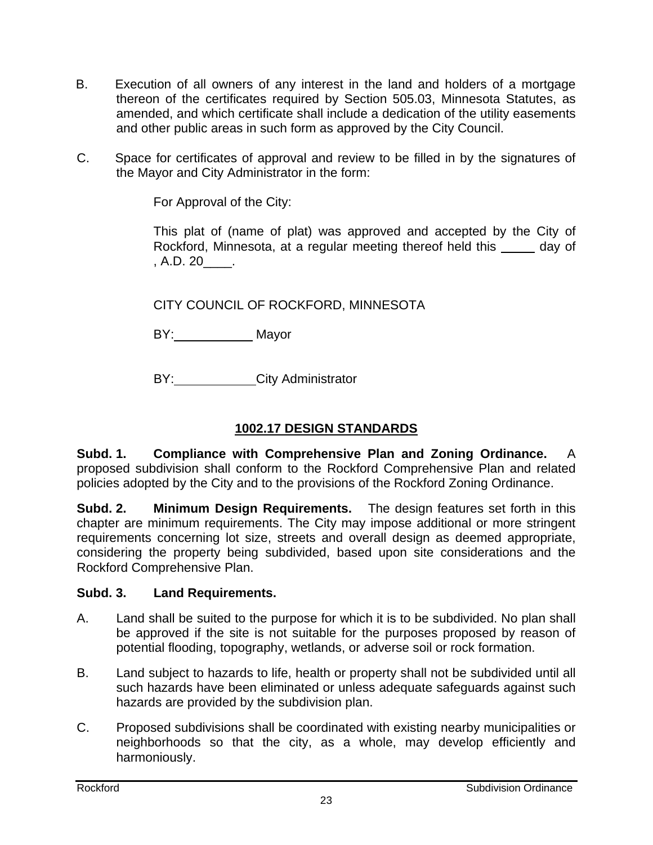- B. Execution of all owners of any interest in the land and holders of a mortgage thereon of the certificates required by Section 505.03, Minnesota Statutes, as amended, and which certificate shall include a dedication of the utility easements and other public areas in such form as approved by the City Council.
- C. Space for certificates of approval and review to be filled in by the signatures of the Mayor and City Administrator in the form:

For Approval of the City:

This plat of (name of plat) was approved and accepted by the City of Rockford, Minnesota, at a regular meeting thereof held this day of , A.D. 20\_\_\_\_.

CITY COUNCIL OF ROCKFORD, MINNESOTA

BY: Mayor

BY: City Administrator

## **1002.17 DESIGN STANDARDS**

**Subd. 1. Compliance with Comprehensive Plan and Zoning Ordinance.** A proposed subdivision shall conform to the Rockford Comprehensive Plan and related policies adopted by the City and to the provisions of the Rockford Zoning Ordinance.

**Subd. 2. Minimum Design Requirements.** The design features set forth in this chapter are minimum requirements. The City may impose additional or more stringent requirements concerning lot size, streets and overall design as deemed appropriate, considering the property being subdivided, based upon site considerations and the Rockford Comprehensive Plan.

#### **Subd. 3. Land Requirements.**

- A. Land shall be suited to the purpose for which it is to be subdivided. No plan shall be approved if the site is not suitable for the purposes proposed by reason of potential flooding, topography, wetlands, or adverse soil or rock formation.
- B. Land subject to hazards to life, health or property shall not be subdivided until all such hazards have been eliminated or unless adequate safeguards against such hazards are provided by the subdivision plan.
- C. Proposed subdivisions shall be coordinated with existing nearby municipalities or neighborhoods so that the city, as a whole, may develop efficiently and harmoniously.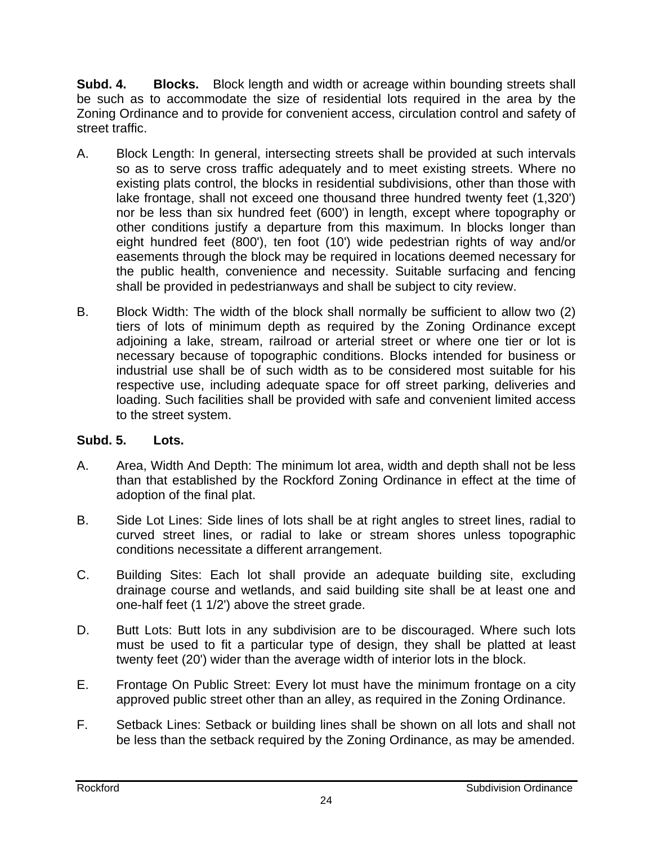**Subd. 4. Blocks.** Block length and width or acreage within bounding streets shall be such as to accommodate the size of residential lots required in the area by the Zoning Ordinance and to provide for convenient access, circulation control and safety of street traffic.

- A. Block Length: In general, intersecting streets shall be provided at such intervals so as to serve cross traffic adequately and to meet existing streets. Where no existing plats control, the blocks in residential subdivisions, other than those with lake frontage, shall not exceed one thousand three hundred twenty feet (1,320') nor be less than six hundred feet (600') in length, except where topography or other conditions justify a departure from this maximum. In blocks longer than eight hundred feet (800'), ten foot (10') wide pedestrian rights of way and/or easements through the block may be required in locations deemed necessary for the public health, convenience and necessity. Suitable surfacing and fencing shall be provided in pedestrianways and shall be subject to city review.
- B. Block Width: The width of the block shall normally be sufficient to allow two (2) tiers of lots of minimum depth as required by the Zoning Ordinance except adjoining a lake, stream, railroad or arterial street or where one tier or lot is necessary because of topographic conditions. Blocks intended for business or industrial use shall be of such width as to be considered most suitable for his respective use, including adequate space for off street parking, deliveries and loading. Such facilities shall be provided with safe and convenient limited access to the street system.

## **Subd. 5. Lots.**

- A. Area, Width And Depth: The minimum lot area, width and depth shall not be less than that established by the Rockford Zoning Ordinance in effect at the time of adoption of the final plat.
- B. Side Lot Lines: Side lines of lots shall be at right angles to street lines, radial to curved street lines, or radial to lake or stream shores unless topographic conditions necessitate a different arrangement.
- C. Building Sites: Each lot shall provide an adequate building site, excluding drainage course and wetlands, and said building site shall be at least one and one-half feet (1 1/2') above the street grade.
- D. Butt Lots: Butt lots in any subdivision are to be discouraged. Where such lots must be used to fit a particular type of design, they shall be platted at least twenty feet (20') wider than the average width of interior lots in the block.
- E. Frontage On Public Street: Every lot must have the minimum frontage on a city approved public street other than an alley, as required in the Zoning Ordinance.
- F. Setback Lines: Setback or building lines shall be shown on all lots and shall not be less than the setback required by the Zoning Ordinance, as may be amended.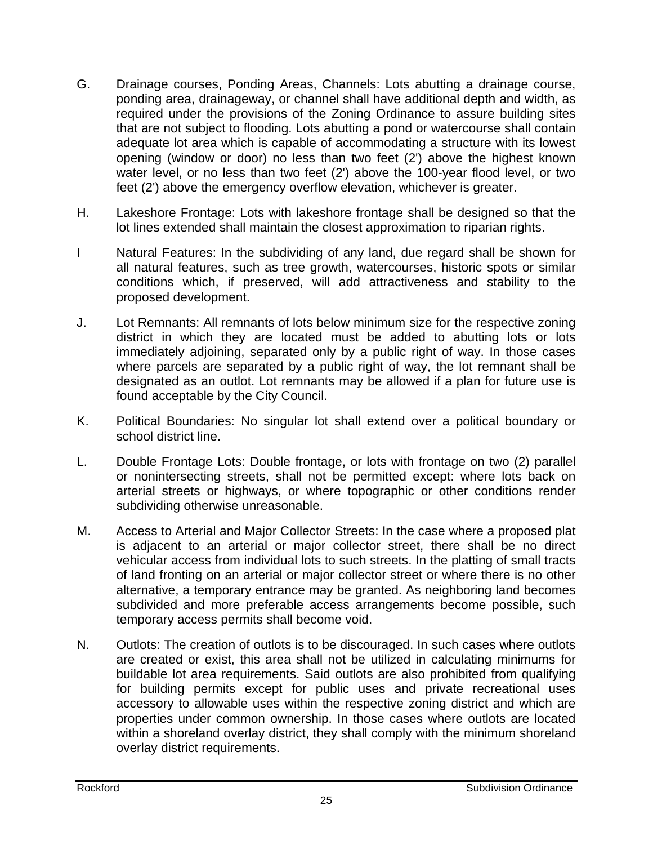- G. Drainage courses, Ponding Areas, Channels: Lots abutting a drainage course, ponding area, drainageway, or channel shall have additional depth and width, as required under the provisions of the Zoning Ordinance to assure building sites that are not subject to flooding. Lots abutting a pond or watercourse shall contain adequate lot area which is capable of accommodating a structure with its lowest opening (window or door) no less than two feet (2') above the highest known water level, or no less than two feet (2') above the 100-year flood level, or two feet (2') above the emergency overflow elevation, whichever is greater.
- H. Lakeshore Frontage: Lots with lakeshore frontage shall be designed so that the lot lines extended shall maintain the closest approximation to riparian rights.
- I Natural Features: In the subdividing of any land, due regard shall be shown for all natural features, such as tree growth, watercourses, historic spots or similar conditions which, if preserved, will add attractiveness and stability to the proposed development.
- J. Lot Remnants: All remnants of lots below minimum size for the respective zoning district in which they are located must be added to abutting lots or lots immediately adjoining, separated only by a public right of way. In those cases where parcels are separated by a public right of way, the lot remnant shall be designated as an outlot. Lot remnants may be allowed if a plan for future use is found acceptable by the City Council.
- K. Political Boundaries: No singular lot shall extend over a political boundary or school district line.
- L. Double Frontage Lots: Double frontage, or lots with frontage on two (2) parallel or nonintersecting streets, shall not be permitted except: where lots back on arterial streets or highways, or where topographic or other conditions render subdividing otherwise unreasonable.
- M. Access to Arterial and Major Collector Streets: In the case where a proposed plat is adjacent to an arterial or major collector street, there shall be no direct vehicular access from individual lots to such streets. In the platting of small tracts of land fronting on an arterial or major collector street or where there is no other alternative, a temporary entrance may be granted. As neighboring land becomes subdivided and more preferable access arrangements become possible, such temporary access permits shall become void.
- N. Outlots: The creation of outlots is to be discouraged. In such cases where outlots are created or exist, this area shall not be utilized in calculating minimums for buildable lot area requirements. Said outlots are also prohibited from qualifying for building permits except for public uses and private recreational uses accessory to allowable uses within the respective zoning district and which are properties under common ownership. In those cases where outlots are located within a shoreland overlay district, they shall comply with the minimum shoreland overlay district requirements.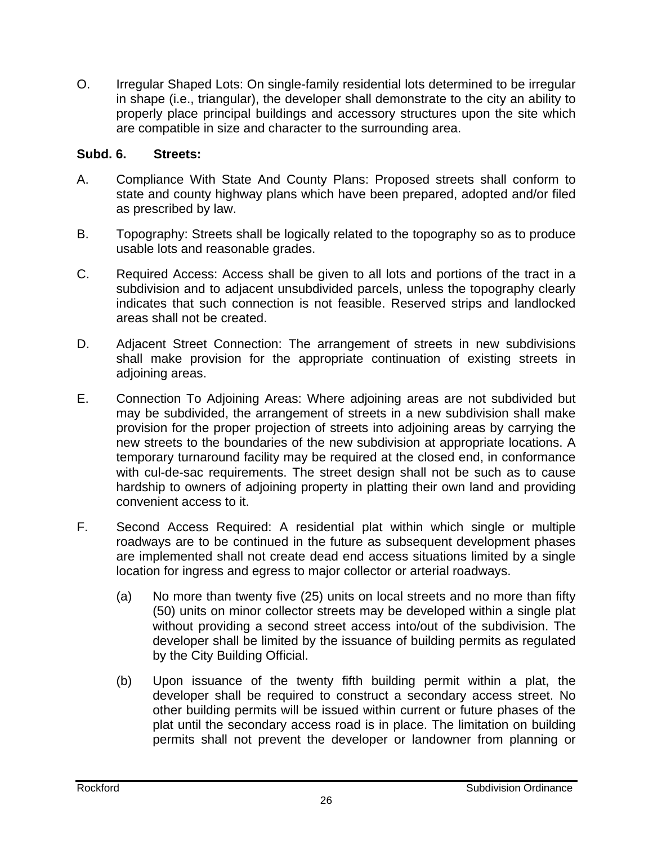O. Irregular Shaped Lots: On single-family residential lots determined to be irregular in shape (i.e., triangular), the developer shall demonstrate to the city an ability to properly place principal buildings and accessory structures upon the site which are compatible in size and character to the surrounding area.

#### **Subd. 6. Streets:**

- A. Compliance With State And County Plans: Proposed streets shall conform to state and county highway plans which have been prepared, adopted and/or filed as prescribed by law.
- B. Topography: Streets shall be logically related to the topography so as to produce usable lots and reasonable grades.
- C. Required Access: Access shall be given to all lots and portions of the tract in a subdivision and to adjacent unsubdivided parcels, unless the topography clearly indicates that such connection is not feasible. Reserved strips and landlocked areas shall not be created.
- D. Adjacent Street Connection: The arrangement of streets in new subdivisions shall make provision for the appropriate continuation of existing streets in adjoining areas.
- E. Connection To Adjoining Areas: Where adjoining areas are not subdivided but may be subdivided, the arrangement of streets in a new subdivision shall make provision for the proper projection of streets into adjoining areas by carrying the new streets to the boundaries of the new subdivision at appropriate locations. A temporary turnaround facility may be required at the closed end, in conformance with cul-de-sac requirements. The street design shall not be such as to cause hardship to owners of adjoining property in platting their own land and providing convenient access to it.
- F. Second Access Required: A residential plat within which single or multiple roadways are to be continued in the future as subsequent development phases are implemented shall not create dead end access situations limited by a single location for ingress and egress to major collector or arterial roadways.
	- (a) No more than twenty five (25) units on local streets and no more than fifty (50) units on minor collector streets may be developed within a single plat without providing a second street access into/out of the subdivision. The developer shall be limited by the issuance of building permits as regulated by the City Building Official.
	- (b) Upon issuance of the twenty fifth building permit within a plat, the developer shall be required to construct a secondary access street. No other building permits will be issued within current or future phases of the plat until the secondary access road is in place. The limitation on building permits shall not prevent the developer or landowner from planning or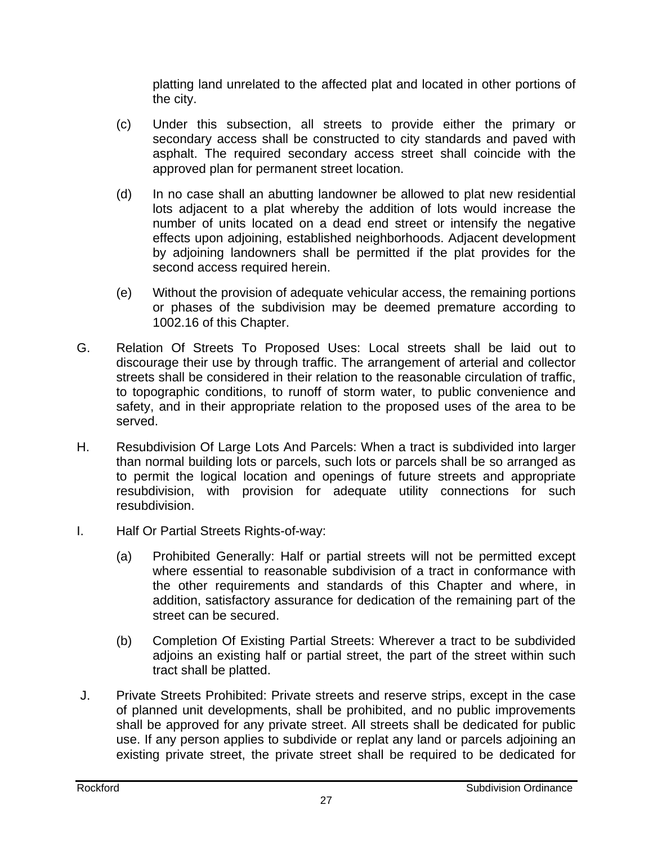platting land unrelated to the affected plat and located in other portions of the city.

- (c) Under this subsection, all streets to provide either the primary or secondary access shall be constructed to city standards and paved with asphalt. The required secondary access street shall coincide with the approved plan for permanent street location.
- (d) In no case shall an abutting landowner be allowed to plat new residential lots adjacent to a plat whereby the addition of lots would increase the number of units located on a dead end street or intensify the negative effects upon adjoining, established neighborhoods. Adjacent development by adjoining landowners shall be permitted if the plat provides for the second access required herein.
- (e) Without the provision of adequate vehicular access, the remaining portions or phases of the subdivision may be deemed premature according to 1002.16 of this Chapter.
- G. Relation Of Streets To Proposed Uses: Local streets shall be laid out to discourage their use by through traffic. The arrangement of arterial and collector streets shall be considered in their relation to the reasonable circulation of traffic, to topographic conditions, to runoff of storm water, to public convenience and safety, and in their appropriate relation to the proposed uses of the area to be served.
- H. Resubdivision Of Large Lots And Parcels: When a tract is subdivided into larger than normal building lots or parcels, such lots or parcels shall be so arranged as to permit the logical location and openings of future streets and appropriate resubdivision, with provision for adequate utility connections for such resubdivision.
- I. Half Or Partial Streets Rights-of-way:
	- (a) Prohibited Generally: Half or partial streets will not be permitted except where essential to reasonable subdivision of a tract in conformance with the other requirements and standards of this Chapter and where, in addition, satisfactory assurance for dedication of the remaining part of the street can be secured.
	- (b) Completion Of Existing Partial Streets: Wherever a tract to be subdivided adjoins an existing half or partial street, the part of the street within such tract shall be platted.
- J. Private Streets Prohibited: Private streets and reserve strips, except in the case of planned unit developments, shall be prohibited, and no public improvements shall be approved for any private street. All streets shall be dedicated for public use. If any person applies to subdivide or replat any land or parcels adjoining an existing private street, the private street shall be required to be dedicated for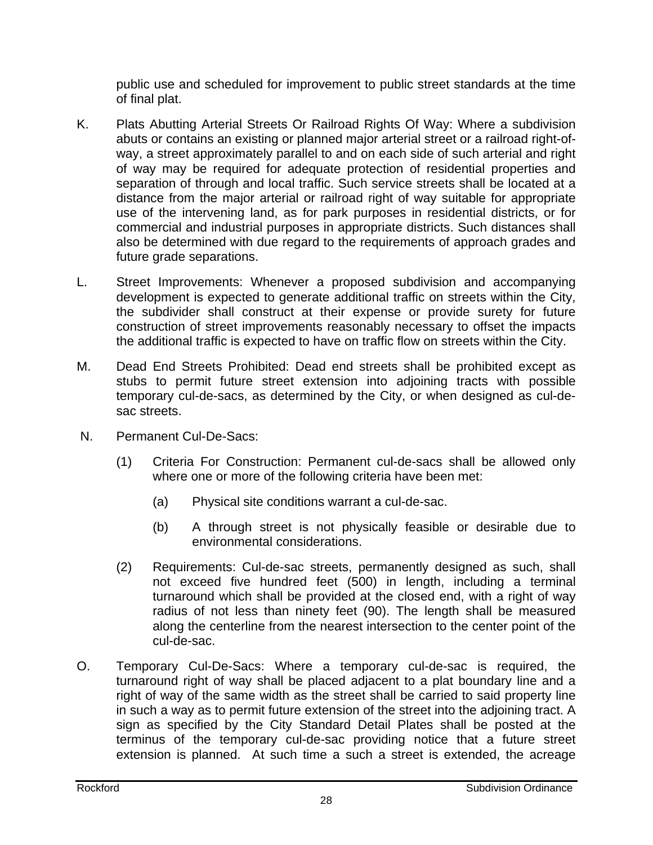public use and scheduled for improvement to public street standards at the time of final plat.

- K. Plats Abutting Arterial Streets Or Railroad Rights Of Way: Where a subdivision abuts or contains an existing or planned major arterial street or a railroad right-ofway, a street approximately parallel to and on each side of such arterial and right of way may be required for adequate protection of residential properties and separation of through and local traffic. Such service streets shall be located at a distance from the major arterial or railroad right of way suitable for appropriate use of the intervening land, as for park purposes in residential districts, or for commercial and industrial purposes in appropriate districts. Such distances shall also be determined with due regard to the requirements of approach grades and future grade separations.
- L. Street Improvements: Whenever a proposed subdivision and accompanying development is expected to generate additional traffic on streets within the City, the subdivider shall construct at their expense or provide surety for future construction of street improvements reasonably necessary to offset the impacts the additional traffic is expected to have on traffic flow on streets within the City.
- M. Dead End Streets Prohibited: Dead end streets shall be prohibited except as stubs to permit future street extension into adjoining tracts with possible temporary cul-de-sacs, as determined by the City, or when designed as cul-desac streets.
- N. Permanent Cul-De-Sacs:
	- (1) Criteria For Construction: Permanent cul-de-sacs shall be allowed only where one or more of the following criteria have been met:
		- (a) Physical site conditions warrant a cul-de-sac.
		- (b) A through street is not physically feasible or desirable due to environmental considerations.
	- (2) Requirements: Cul-de-sac streets, permanently designed as such, shall not exceed five hundred feet (500) in length, including a terminal turnaround which shall be provided at the closed end, with a right of way radius of not less than ninety feet (90). The length shall be measured along the centerline from the nearest intersection to the center point of the cul-de-sac.
- O. Temporary Cul-De-Sacs: Where a temporary cul-de-sac is required, the turnaround right of way shall be placed adjacent to a plat boundary line and a right of way of the same width as the street shall be carried to said property line in such a way as to permit future extension of the street into the adjoining tract. A sign as specified by the City Standard Detail Plates shall be posted at the terminus of the temporary cul-de-sac providing notice that a future street extension is planned. At such time a such a street is extended, the acreage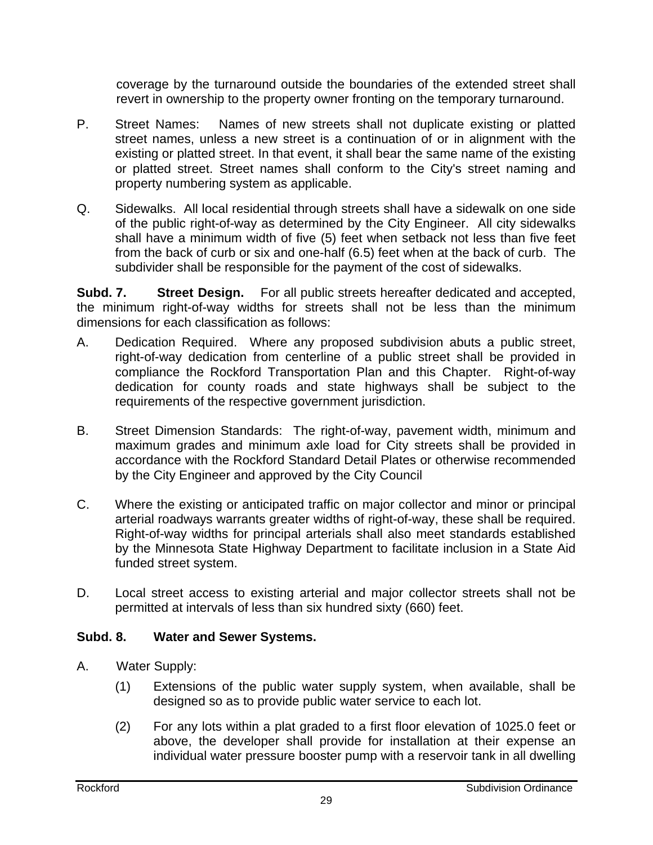coverage by the turnaround outside the boundaries of the extended street shall revert in ownership to the property owner fronting on the temporary turnaround.

- P. Street Names: Names of new streets shall not duplicate existing or platted street names, unless a new street is a continuation of or in alignment with the existing or platted street. In that event, it shall bear the same name of the existing or platted street. Street names shall conform to the City's street naming and property numbering system as applicable.
- Q. Sidewalks. All local residential through streets shall have a sidewalk on one side of the public right-of-way as determined by the City Engineer. All city sidewalks shall have a minimum width of five (5) feet when setback not less than five feet from the back of curb or six and one-half (6.5) feet when at the back of curb. The subdivider shall be responsible for the payment of the cost of sidewalks.

**Subd. 7. Street Design.** For all public streets hereafter dedicated and accepted, the minimum right-of-way widths for streets shall not be less than the minimum dimensions for each classification as follows:

- A. Dedication Required. Where any proposed subdivision abuts a public street, right-of-way dedication from centerline of a public street shall be provided in compliance the Rockford Transportation Plan and this Chapter. Right-of-way dedication for county roads and state highways shall be subject to the requirements of the respective government jurisdiction.
- B. Street Dimension Standards: The right-of-way, pavement width, minimum and maximum grades and minimum axle load for City streets shall be provided in accordance with the Rockford Standard Detail Plates or otherwise recommended by the City Engineer and approved by the City Council
- C. Where the existing or anticipated traffic on major collector and minor or principal arterial roadways warrants greater widths of right-of-way, these shall be required. Right-of-way widths for principal arterials shall also meet standards established by the Minnesota State Highway Department to facilitate inclusion in a State Aid funded street system.
- D. Local street access to existing arterial and major collector streets shall not be permitted at intervals of less than six hundred sixty (660) feet.

## **Subd. 8. Water and Sewer Systems.**

- A. Water Supply:
	- (1) Extensions of the public water supply system, when available, shall be designed so as to provide public water service to each lot.
	- (2) For any lots within a plat graded to a first floor elevation of 1025.0 feet or above, the developer shall provide for installation at their expense an individual water pressure booster pump with a reservoir tank in all dwelling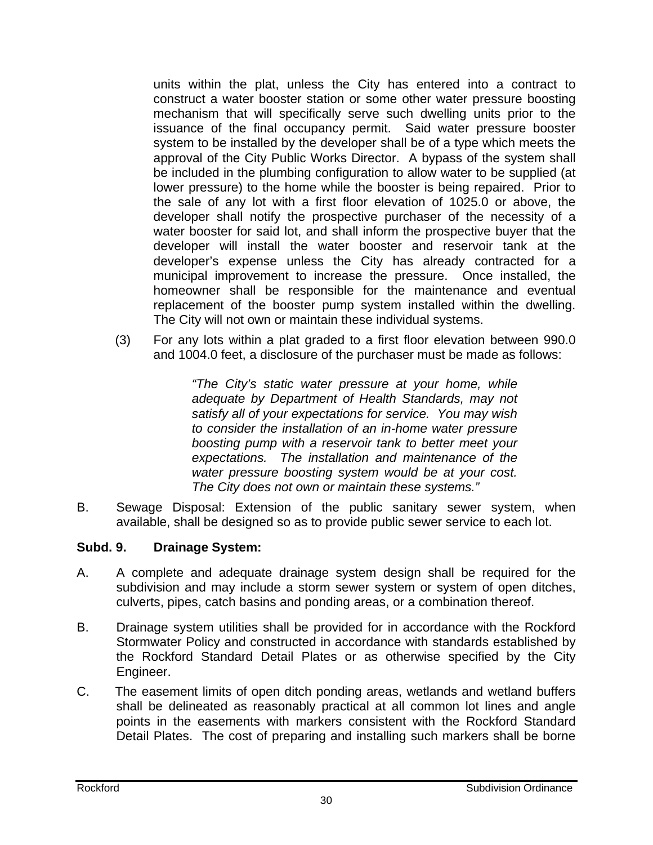units within the plat, unless the City has entered into a contract to construct a water booster station or some other water pressure boosting mechanism that will specifically serve such dwelling units prior to the issuance of the final occupancy permit. Said water pressure booster system to be installed by the developer shall be of a type which meets the approval of the City Public Works Director. A bypass of the system shall be included in the plumbing configuration to allow water to be supplied (at lower pressure) to the home while the booster is being repaired. Prior to the sale of any lot with a first floor elevation of 1025.0 or above, the developer shall notify the prospective purchaser of the necessity of a water booster for said lot, and shall inform the prospective buyer that the developer will install the water booster and reservoir tank at the developer's expense unless the City has already contracted for a municipal improvement to increase the pressure. Once installed, the homeowner shall be responsible for the maintenance and eventual replacement of the booster pump system installed within the dwelling. The City will not own or maintain these individual systems.

(3) For any lots within a plat graded to a first floor elevation between 990.0 and 1004.0 feet, a disclosure of the purchaser must be made as follows:

> *"The City's static water pressure at your home, while adequate by Department of Health Standards, may not satisfy all of your expectations for service. You may wish to consider the installation of an in-home water pressure boosting pump with a reservoir tank to better meet your expectations. The installation and maintenance of the water pressure boosting system would be at your cost. The City does not own or maintain these systems."*

B. Sewage Disposal: Extension of the public sanitary sewer system, when available, shall be designed so as to provide public sewer service to each lot.

## **Subd. 9. Drainage System:**

- A. A complete and adequate drainage system design shall be required for the subdivision and may include a storm sewer system or system of open ditches, culverts, pipes, catch basins and ponding areas, or a combination thereof.
- B. Drainage system utilities shall be provided for in accordance with the Rockford Stormwater Policy and constructed in accordance with standards established by the Rockford Standard Detail Plates or as otherwise specified by the City Engineer.
- C. The easement limits of open ditch ponding areas, wetlands and wetland buffers shall be delineated as reasonably practical at all common lot lines and angle points in the easements with markers consistent with the Rockford Standard Detail Plates. The cost of preparing and installing such markers shall be borne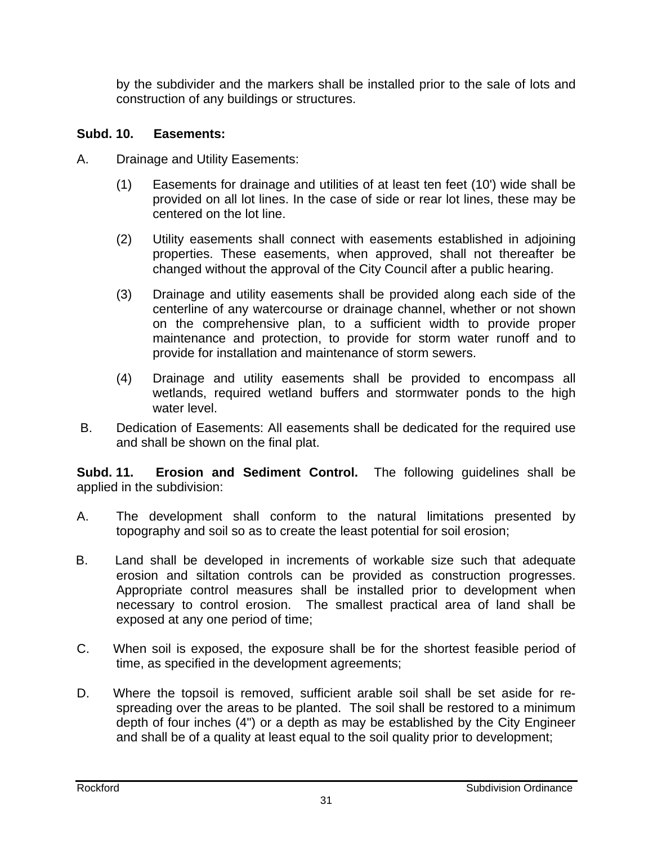by the subdivider and the markers shall be installed prior to the sale of lots and construction of any buildings or structures.

#### **Subd. 10. Easements:**

- A. Drainage and Utility Easements:
	- (1) Easements for drainage and utilities of at least ten feet (10') wide shall be provided on all lot lines. In the case of side or rear lot lines, these may be centered on the lot line.
	- (2) Utility easements shall connect with easements established in adjoining properties. These easements, when approved, shall not thereafter be changed without the approval of the City Council after a public hearing.
	- (3) Drainage and utility easements shall be provided along each side of the centerline of any watercourse or drainage channel, whether or not shown on the comprehensive plan, to a sufficient width to provide proper maintenance and protection, to provide for storm water runoff and to provide for installation and maintenance of storm sewers.
	- (4) Drainage and utility easements shall be provided to encompass all wetlands, required wetland buffers and stormwater ponds to the high water level.
- B. Dedication of Easements: All easements shall be dedicated for the required use and shall be shown on the final plat.

**Subd. 11. Erosion and Sediment Control.** The following guidelines shall be applied in the subdivision:

- A. The development shall conform to the natural limitations presented by topography and soil so as to create the least potential for soil erosion;
- B. Land shall be developed in increments of workable size such that adequate erosion and siltation controls can be provided as construction progresses. Appropriate control measures shall be installed prior to development when necessary to control erosion. The smallest practical area of land shall be exposed at any one period of time;
- C. When soil is exposed, the exposure shall be for the shortest feasible period of time, as specified in the development agreements;
- D. Where the topsoil is removed, sufficient arable soil shall be set aside for respreading over the areas to be planted. The soil shall be restored to a minimum depth of four inches (4") or a depth as may be established by the City Engineer and shall be of a quality at least equal to the soil quality prior to development;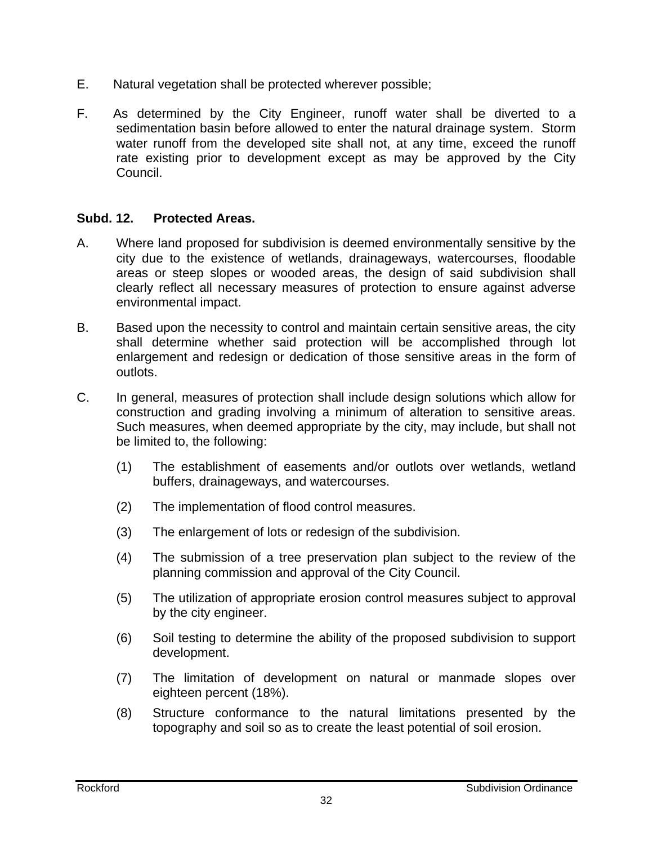- E. Natural vegetation shall be protected wherever possible;
- F. As determined by the City Engineer, runoff water shall be diverted to a sedimentation basin before allowed to enter the natural drainage system. Storm water runoff from the developed site shall not, at any time, exceed the runoff rate existing prior to development except as may be approved by the City Council.

#### **Subd. 12. Protected Areas.**

- A. Where land proposed for subdivision is deemed environmentally sensitive by the city due to the existence of wetlands, drainageways, watercourses, floodable areas or steep slopes or wooded areas, the design of said subdivision shall clearly reflect all necessary measures of protection to ensure against adverse environmental impact.
- B. Based upon the necessity to control and maintain certain sensitive areas, the city shall determine whether said protection will be accomplished through lot enlargement and redesign or dedication of those sensitive areas in the form of outlots.
- C. In general, measures of protection shall include design solutions which allow for construction and grading involving a minimum of alteration to sensitive areas. Such measures, when deemed appropriate by the city, may include, but shall not be limited to, the following:
	- (1) The establishment of easements and/or outlots over wetlands, wetland buffers, drainageways, and watercourses.
	- (2) The implementation of flood control measures.
	- (3) The enlargement of lots or redesign of the subdivision.
	- (4) The submission of a tree preservation plan subject to the review of the planning commission and approval of the City Council.
	- (5) The utilization of appropriate erosion control measures subject to approval by the city engineer.
	- (6) Soil testing to determine the ability of the proposed subdivision to support development.
	- (7) The limitation of development on natural or manmade slopes over eighteen percent (18%).
	- (8) Structure conformance to the natural limitations presented by the topography and soil so as to create the least potential of soil erosion.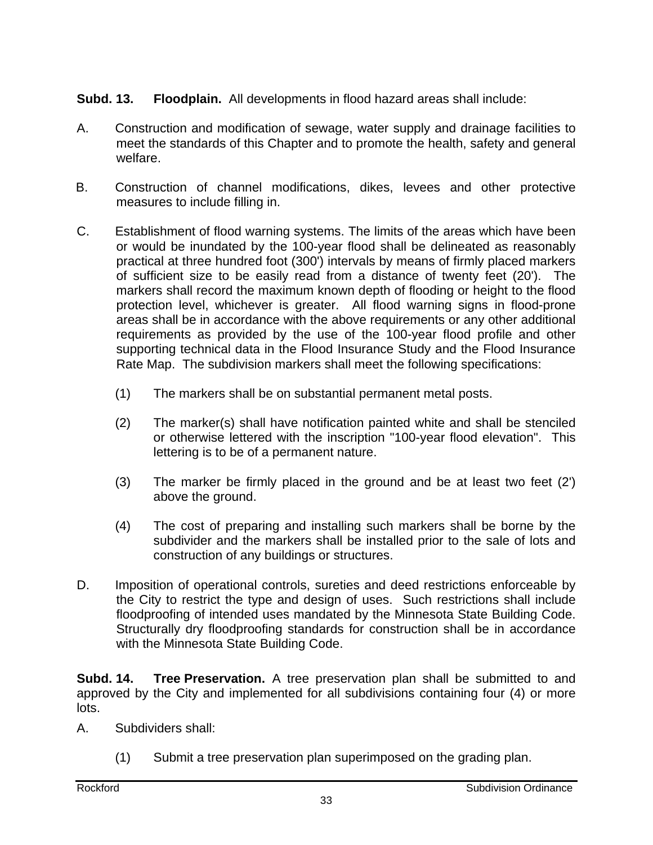## **Subd. 13. Floodplain.** All developments in flood hazard areas shall include:

- A. Construction and modification of sewage, water supply and drainage facilities to meet the standards of this Chapter and to promote the health, safety and general welfare.
- B. Construction of channel modifications, dikes, levees and other protective measures to include filling in.
- C. Establishment of flood warning systems. The limits of the areas which have been or would be inundated by the 100-year flood shall be delineated as reasonably practical at three hundred foot (300') intervals by means of firmly placed markers of sufficient size to be easily read from a distance of twenty feet (20'). The markers shall record the maximum known depth of flooding or height to the flood protection level, whichever is greater. All flood warning signs in flood-prone areas shall be in accordance with the above requirements or any other additional requirements as provided by the use of the 100-year flood profile and other supporting technical data in the Flood Insurance Study and the Flood Insurance Rate Map. The subdivision markers shall meet the following specifications:
	- (1) The markers shall be on substantial permanent metal posts.
	- (2) The marker(s) shall have notification painted white and shall be stenciled or otherwise lettered with the inscription "100-year flood elevation". This lettering is to be of a permanent nature.
	- (3) The marker be firmly placed in the ground and be at least two feet (2') above the ground.
	- (4) The cost of preparing and installing such markers shall be borne by the subdivider and the markers shall be installed prior to the sale of lots and construction of any buildings or structures.
- D. Imposition of operational controls, sureties and deed restrictions enforceable by the City to restrict the type and design of uses. Such restrictions shall include floodproofing of intended uses mandated by the Minnesota State Building Code. Structurally dry floodproofing standards for construction shall be in accordance with the Minnesota State Building Code.

**Subd. 14. Tree Preservation.** A tree preservation plan shall be submitted to and approved by the City and implemented for all subdivisions containing four (4) or more lots.

- A. Subdividers shall:
	- (1) Submit a tree preservation plan superimposed on the grading plan.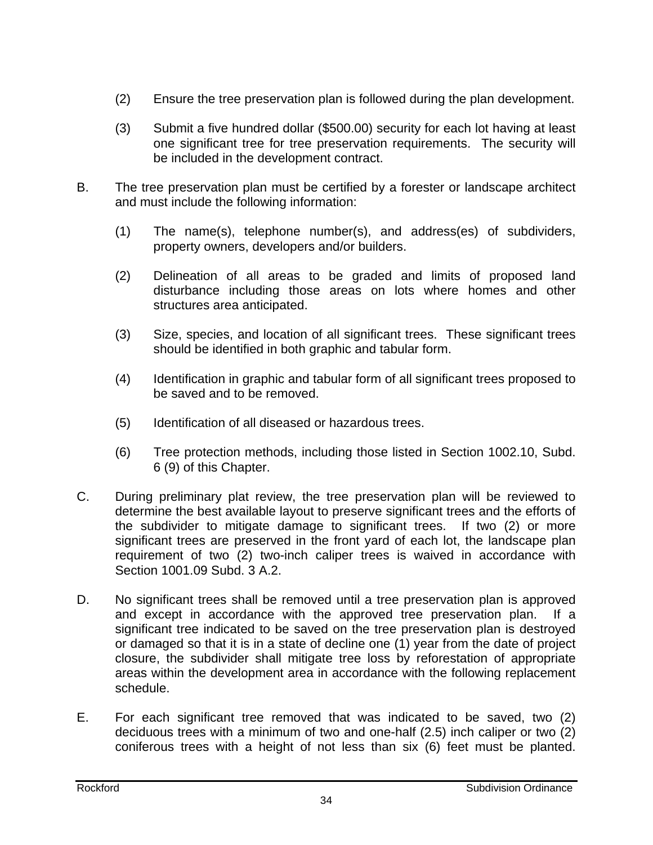- (2) Ensure the tree preservation plan is followed during the plan development.
- (3) Submit a five hundred dollar (\$500.00) security for each lot having at least one significant tree for tree preservation requirements. The security will be included in the development contract.
- B. The tree preservation plan must be certified by a forester or landscape architect and must include the following information:
	- (1) The name(s), telephone number(s), and address(es) of subdividers, property owners, developers and/or builders.
	- (2) Delineation of all areas to be graded and limits of proposed land disturbance including those areas on lots where homes and other structures area anticipated.
	- (3) Size, species, and location of all significant trees. These significant trees should be identified in both graphic and tabular form.
	- (4) Identification in graphic and tabular form of all significant trees proposed to be saved and to be removed.
	- (5) Identification of all diseased or hazardous trees.
	- (6) Tree protection methods, including those listed in Section 1002.10, Subd. 6 (9) of this Chapter.
- C. During preliminary plat review, the tree preservation plan will be reviewed to determine the best available layout to preserve significant trees and the efforts of the subdivider to mitigate damage to significant trees. If two (2) or more significant trees are preserved in the front yard of each lot, the landscape plan requirement of two (2) two-inch caliper trees is waived in accordance with Section 1001.09 Subd. 3 A.2.
- D. No significant trees shall be removed until a tree preservation plan is approved and except in accordance with the approved tree preservation plan. If a significant tree indicated to be saved on the tree preservation plan is destroyed or damaged so that it is in a state of decline one (1) year from the date of project closure, the subdivider shall mitigate tree loss by reforestation of appropriate areas within the development area in accordance with the following replacement schedule.
- E. For each significant tree removed that was indicated to be saved, two (2) deciduous trees with a minimum of two and one-half (2.5) inch caliper or two (2) coniferous trees with a height of not less than six (6) feet must be planted.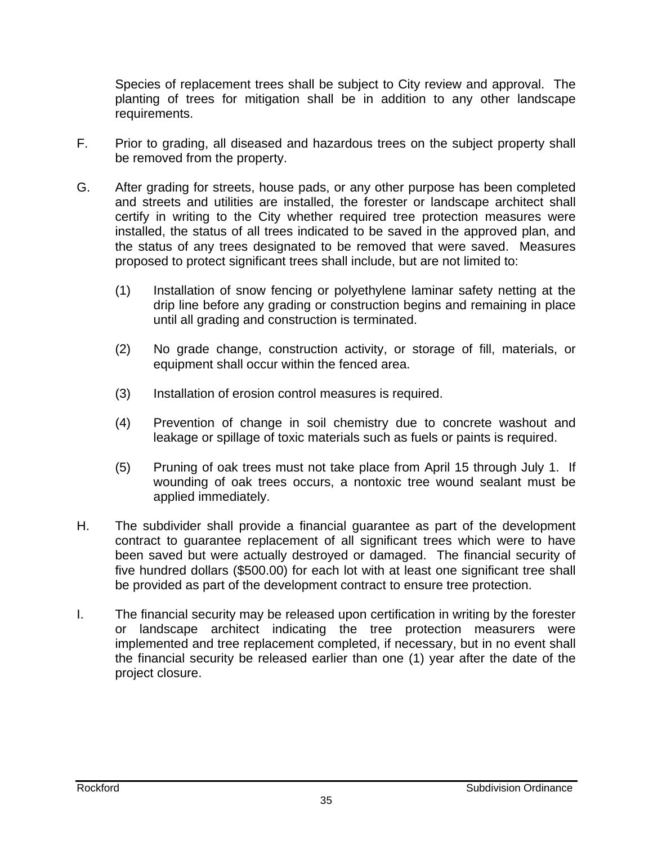Species of replacement trees shall be subject to City review and approval. The planting of trees for mitigation shall be in addition to any other landscape requirements.

- F. Prior to grading, all diseased and hazardous trees on the subject property shall be removed from the property.
- G. After grading for streets, house pads, or any other purpose has been completed and streets and utilities are installed, the forester or landscape architect shall certify in writing to the City whether required tree protection measures were installed, the status of all trees indicated to be saved in the approved plan, and the status of any trees designated to be removed that were saved. Measures proposed to protect significant trees shall include, but are not limited to:
	- (1) Installation of snow fencing or polyethylene laminar safety netting at the drip line before any grading or construction begins and remaining in place until all grading and construction is terminated.
	- (2) No grade change, construction activity, or storage of fill, materials, or equipment shall occur within the fenced area.
	- (3) Installation of erosion control measures is required.
	- (4) Prevention of change in soil chemistry due to concrete washout and leakage or spillage of toxic materials such as fuels or paints is required.
	- (5) Pruning of oak trees must not take place from April 15 through July 1. If wounding of oak trees occurs, a nontoxic tree wound sealant must be applied immediately.
- H. The subdivider shall provide a financial guarantee as part of the development contract to guarantee replacement of all significant trees which were to have been saved but were actually destroyed or damaged. The financial security of five hundred dollars (\$500.00) for each lot with at least one significant tree shall be provided as part of the development contract to ensure tree protection.
- I. The financial security may be released upon certification in writing by the forester or landscape architect indicating the tree protection measurers were implemented and tree replacement completed, if necessary, but in no event shall the financial security be released earlier than one (1) year after the date of the project closure.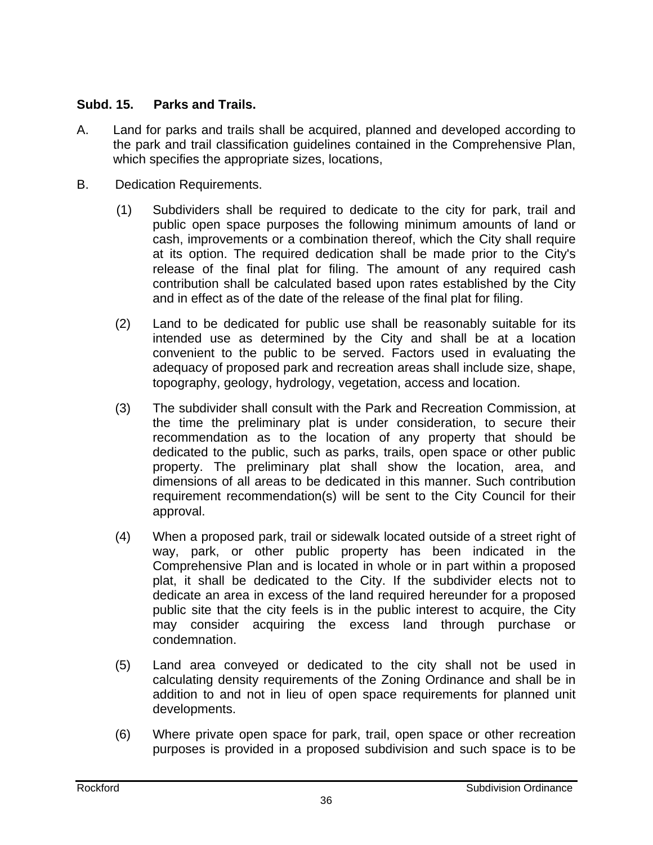#### **Subd. 15. Parks and Trails.**

- A. Land for parks and trails shall be acquired, planned and developed according to the park and trail classification guidelines contained in the Comprehensive Plan, which specifies the appropriate sizes, locations,
- B. Dedication Requirements.
	- (1) Subdividers shall be required to dedicate to the city for park, trail and public open space purposes the following minimum amounts of land or cash, improvements or a combination thereof, which the City shall require at its option. The required dedication shall be made prior to the City's release of the final plat for filing. The amount of any required cash contribution shall be calculated based upon rates established by the City and in effect as of the date of the release of the final plat for filing.
	- (2) Land to be dedicated for public use shall be reasonably suitable for its intended use as determined by the City and shall be at a location convenient to the public to be served. Factors used in evaluating the adequacy of proposed park and recreation areas shall include size, shape, topography, geology, hydrology, vegetation, access and location.
	- (3) The subdivider shall consult with the Park and Recreation Commission, at the time the preliminary plat is under consideration, to secure their recommendation as to the location of any property that should be dedicated to the public, such as parks, trails, open space or other public property. The preliminary plat shall show the location, area, and dimensions of all areas to be dedicated in this manner. Such contribution requirement recommendation(s) will be sent to the City Council for their approval.
	- (4) When a proposed park, trail or sidewalk located outside of a street right of way, park, or other public property has been indicated in the Comprehensive Plan and is located in whole or in part within a proposed plat, it shall be dedicated to the City. If the subdivider elects not to dedicate an area in excess of the land required hereunder for a proposed public site that the city feels is in the public interest to acquire, the City may consider acquiring the excess land through purchase or condemnation.
	- (5) Land area conveyed or dedicated to the city shall not be used in calculating density requirements of the Zoning Ordinance and shall be in addition to and not in lieu of open space requirements for planned unit developments.
	- (6) Where private open space for park, trail, open space or other recreation purposes is provided in a proposed subdivision and such space is to be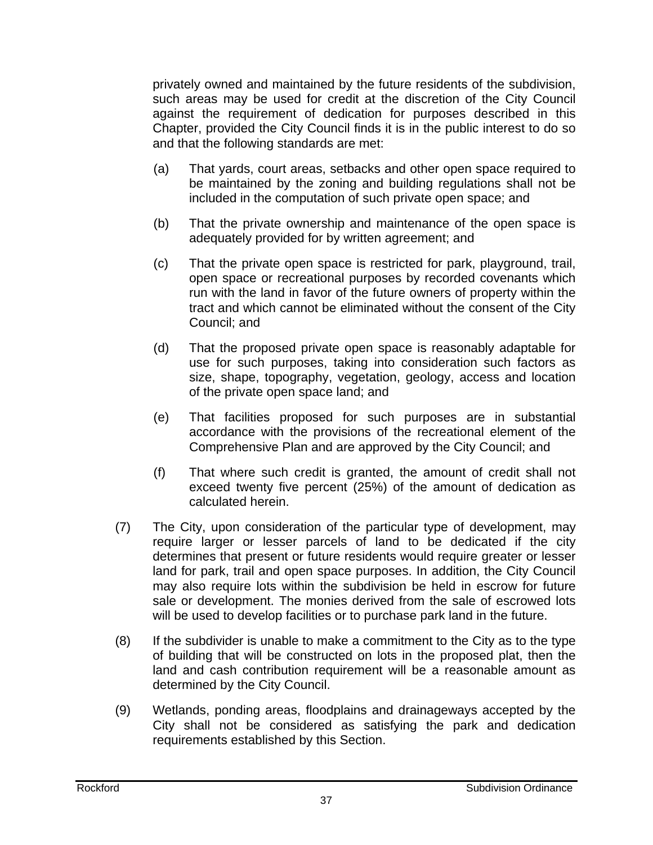privately owned and maintained by the future residents of the subdivision, such areas may be used for credit at the discretion of the City Council against the requirement of dedication for purposes described in this Chapter, provided the City Council finds it is in the public interest to do so and that the following standards are met:

- (a) That yards, court areas, setbacks and other open space required to be maintained by the zoning and building regulations shall not be included in the computation of such private open space; and
- (b) That the private ownership and maintenance of the open space is adequately provided for by written agreement; and
- (c) That the private open space is restricted for park, playground, trail, open space or recreational purposes by recorded covenants which run with the land in favor of the future owners of property within the tract and which cannot be eliminated without the consent of the City Council; and
- (d) That the proposed private open space is reasonably adaptable for use for such purposes, taking into consideration such factors as size, shape, topography, vegetation, geology, access and location of the private open space land; and
- (e) That facilities proposed for such purposes are in substantial accordance with the provisions of the recreational element of the Comprehensive Plan and are approved by the City Council; and
- (f) That where such credit is granted, the amount of credit shall not exceed twenty five percent (25%) of the amount of dedication as calculated herein.
- (7) The City, upon consideration of the particular type of development, may require larger or lesser parcels of land to be dedicated if the city determines that present or future residents would require greater or lesser land for park, trail and open space purposes. In addition, the City Council may also require lots within the subdivision be held in escrow for future sale or development. The monies derived from the sale of escrowed lots will be used to develop facilities or to purchase park land in the future.
- (8) If the subdivider is unable to make a commitment to the City as to the type of building that will be constructed on lots in the proposed plat, then the land and cash contribution requirement will be a reasonable amount as determined by the City Council.
- (9) Wetlands, ponding areas, floodplains and drainageways accepted by the City shall not be considered as satisfying the park and dedication requirements established by this Section.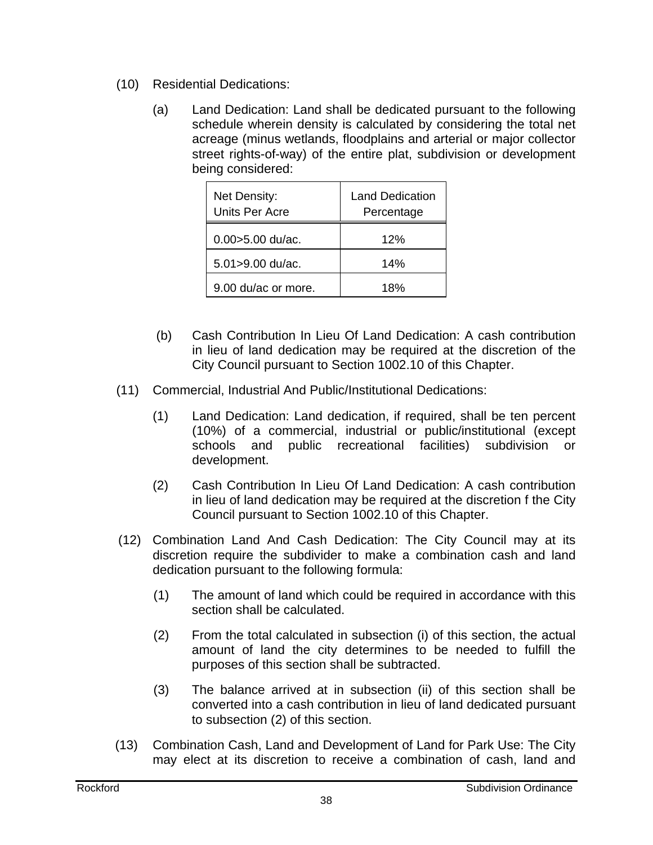- (10) Residential Dedications:
	- (a) Land Dedication: Land shall be dedicated pursuant to the following schedule wherein density is calculated by considering the total net acreage (minus wetlands, floodplains and arterial or major collector street rights-of-way) of the entire plat, subdivision or development being considered:

| Net Density:<br>Units Per Acre | <b>Land Dedication</b><br>Percentage |
|--------------------------------|--------------------------------------|
| $0.00 > 5.00$ du/ac.           | 12%                                  |
| 5.01>9.00 du/ac.               | 14%                                  |
| 9.00 du/ac or more.            | 18%                                  |

- (b) Cash Contribution In Lieu Of Land Dedication: A cash contribution in lieu of land dedication may be required at the discretion of the City Council pursuant to Section 1002.10 of this Chapter.
- (11) Commercial, Industrial And Public/Institutional Dedications:
	- (1) Land Dedication: Land dedication, if required, shall be ten percent (10%) of a commercial, industrial or public/institutional (except schools and public recreational facilities) subdivision or development.
	- (2) Cash Contribution In Lieu Of Land Dedication: A cash contribution in lieu of land dedication may be required at the discretion f the City Council pursuant to Section 1002.10 of this Chapter.
- (12) Combination Land And Cash Dedication: The City Council may at its discretion require the subdivider to make a combination cash and land dedication pursuant to the following formula:
	- (1) The amount of land which could be required in accordance with this section shall be calculated.
	- (2) From the total calculated in subsection (i) of this section, the actual amount of land the city determines to be needed to fulfill the purposes of this section shall be subtracted.
	- (3) The balance arrived at in subsection (ii) of this section shall be converted into a cash contribution in lieu of land dedicated pursuant to subsection (2) of this section.
- (13) Combination Cash, Land and Development of Land for Park Use: The City may elect at its discretion to receive a combination of cash, land and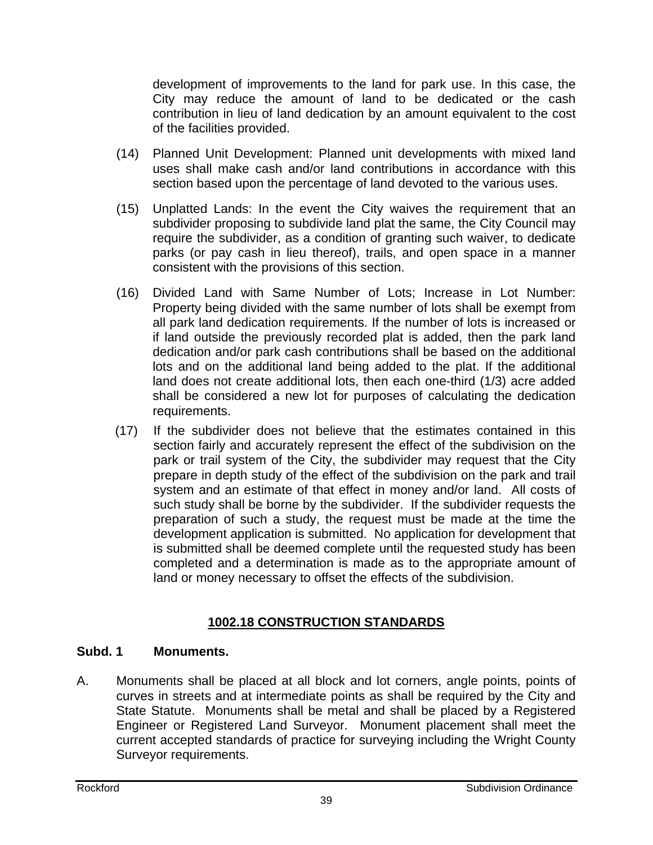development of improvements to the land for park use. In this case, the City may reduce the amount of land to be dedicated or the cash contribution in lieu of land dedication by an amount equivalent to the cost of the facilities provided.

- (14) Planned Unit Development: Planned unit developments with mixed land uses shall make cash and/or land contributions in accordance with this section based upon the percentage of land devoted to the various uses.
- (15) Unplatted Lands: In the event the City waives the requirement that an subdivider proposing to subdivide land plat the same, the City Council may require the subdivider, as a condition of granting such waiver, to dedicate parks (or pay cash in lieu thereof), trails, and open space in a manner consistent with the provisions of this section.
- (16) Divided Land with Same Number of Lots; Increase in Lot Number: Property being divided with the same number of lots shall be exempt from all park land dedication requirements. If the number of lots is increased or if land outside the previously recorded plat is added, then the park land dedication and/or park cash contributions shall be based on the additional lots and on the additional land being added to the plat. If the additional land does not create additional lots, then each one-third (1/3) acre added shall be considered a new lot for purposes of calculating the dedication requirements.
- (17) If the subdivider does not believe that the estimates contained in this section fairly and accurately represent the effect of the subdivision on the park or trail system of the City, the subdivider may request that the City prepare in depth study of the effect of the subdivision on the park and trail system and an estimate of that effect in money and/or land. All costs of such study shall be borne by the subdivider. If the subdivider requests the preparation of such a study, the request must be made at the time the development application is submitted. No application for development that is submitted shall be deemed complete until the requested study has been completed and a determination is made as to the appropriate amount of land or money necessary to offset the effects of the subdivision.

# **1002.18 CONSTRUCTION STANDARDS**

## **Subd. 1 Monuments.**

A. Monuments shall be placed at all block and lot corners, angle points, points of curves in streets and at intermediate points as shall be required by the City and State Statute. Monuments shall be metal and shall be placed by a Registered Engineer or Registered Land Surveyor. Monument placement shall meet the current accepted standards of practice for surveying including the Wright County Surveyor requirements.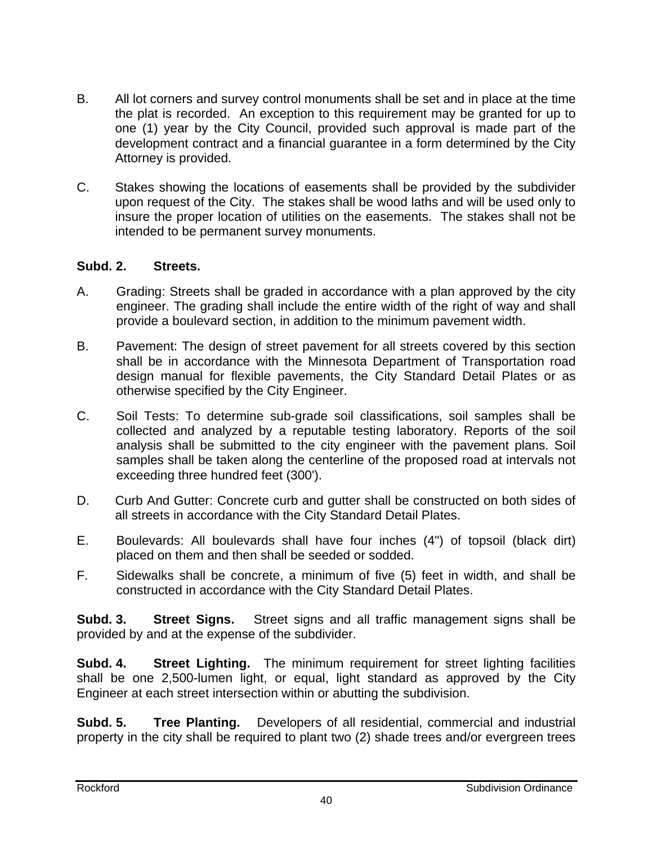- B. All lot corners and survey control monuments shall be set and in place at the time the plat is recorded. An exception to this requirement may be granted for up to one (1) year by the City Council, provided such approval is made part of the development contract and a financial guarantee in a form determined by the City Attorney is provided.
- C. Stakes showing the locations of easements shall be provided by the subdivider upon request of the City. The stakes shall be wood laths and will be used only to insure the proper location of utilities on the easements. The stakes shall not be intended to be permanent survey monuments.

#### **Subd. 2. Streets.**

- A. Grading: Streets shall be graded in accordance with a plan approved by the city engineer. The grading shall include the entire width of the right of way and shall provide a boulevard section, in addition to the minimum pavement width.
- B. Pavement: The design of street pavement for all streets covered by this section shall be in accordance with the Minnesota Department of Transportation road design manual for flexible pavements, the City Standard Detail Plates or as otherwise specified by the City Engineer.
- C. Soil Tests: To determine sub-grade soil classifications, soil samples shall be collected and analyzed by a reputable testing laboratory. Reports of the soil analysis shall be submitted to the city engineer with the pavement plans. Soil samples shall be taken along the centerline of the proposed road at intervals not exceeding three hundred feet (300').
- D. Curb And Gutter: Concrete curb and gutter shall be constructed on both sides of all streets in accordance with the City Standard Detail Plates.
- E. Boulevards: All boulevards shall have four inches (4") of topsoil (black dirt) placed on them and then shall be seeded or sodded.
- F. Sidewalks shall be concrete, a minimum of five (5) feet in width, and shall be constructed in accordance with the City Standard Detail Plates.

**Subd. 3. Street Signs.** Street signs and all traffic management signs shall be provided by and at the expense of the subdivider.

**Subd. 4. Street Lighting.** The minimum requirement for street lighting facilities shall be one 2,500-lumen light, or equal, light standard as approved by the City Engineer at each street intersection within or abutting the subdivision.

**Subd. 5. Tree Planting.** Developers of all residential, commercial and industrial property in the city shall be required to plant two (2) shade trees and/or evergreen trees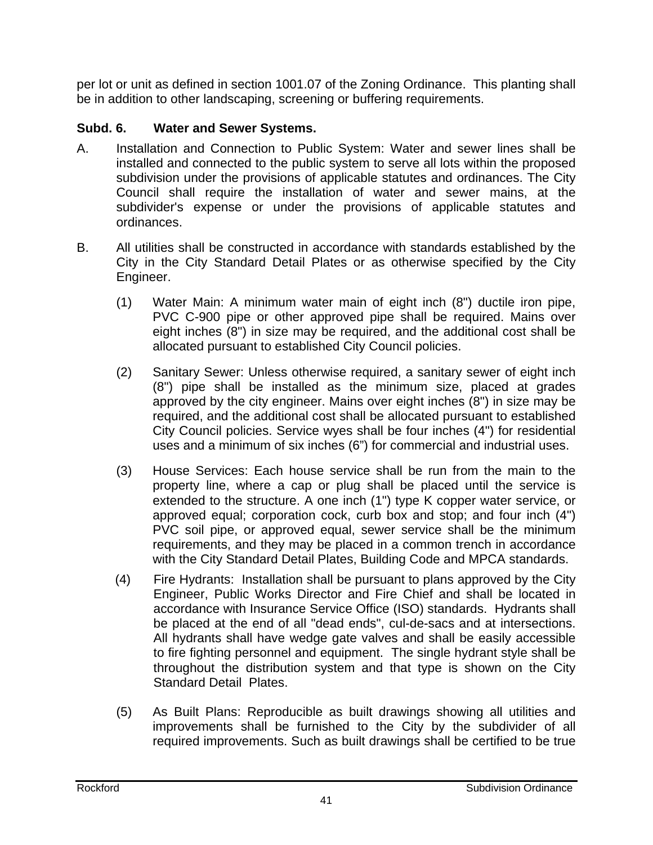per lot or unit as defined in section 1001.07 of the Zoning Ordinance. This planting shall be in addition to other landscaping, screening or buffering requirements.

## **Subd. 6. Water and Sewer Systems.**

- A. Installation and Connection to Public System: Water and sewer lines shall be installed and connected to the public system to serve all lots within the proposed subdivision under the provisions of applicable statutes and ordinances. The City Council shall require the installation of water and sewer mains, at the subdivider's expense or under the provisions of applicable statutes and ordinances.
- B. All utilities shall be constructed in accordance with standards established by the City in the City Standard Detail Plates or as otherwise specified by the City Engineer.
	- (1) Water Main: A minimum water main of eight inch (8") ductile iron pipe, PVC C-900 pipe or other approved pipe shall be required. Mains over eight inches (8") in size may be required, and the additional cost shall be allocated pursuant to established City Council policies.
	- (2) Sanitary Sewer: Unless otherwise required, a sanitary sewer of eight inch (8") pipe shall be installed as the minimum size, placed at grades approved by the city engineer. Mains over eight inches (8") in size may be required, and the additional cost shall be allocated pursuant to established City Council policies. Service wyes shall be four inches (4") for residential uses and a minimum of six inches (6") for commercial and industrial uses.
	- (3) House Services: Each house service shall be run from the main to the property line, where a cap or plug shall be placed until the service is extended to the structure. A one inch (1") type K copper water service, or approved equal; corporation cock, curb box and stop; and four inch (4") PVC soil pipe, or approved equal, sewer service shall be the minimum requirements, and they may be placed in a common trench in accordance with the City Standard Detail Plates, Building Code and MPCA standards.
	- (4) Fire Hydrants: Installation shall be pursuant to plans approved by the City Engineer, Public Works Director and Fire Chief and shall be located in accordance with Insurance Service Office (ISO) standards. Hydrants shall be placed at the end of all "dead ends", cul-de-sacs and at intersections. All hydrants shall have wedge gate valves and shall be easily accessible to fire fighting personnel and equipment. The single hydrant style shall be throughout the distribution system and that type is shown on the City Standard Detail Plates.
	- (5) As Built Plans: Reproducible as built drawings showing all utilities and improvements shall be furnished to the City by the subdivider of all required improvements. Such as built drawings shall be certified to be true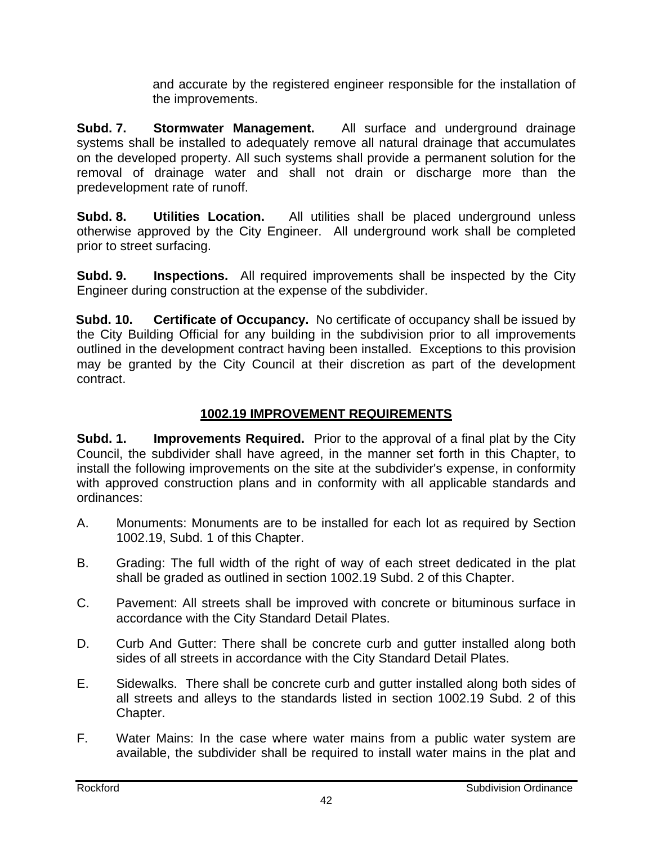and accurate by the registered engineer responsible for the installation of the improvements.

**Subd. 7. Stormwater Management.** All surface and underground drainage systems shall be installed to adequately remove all natural drainage that accumulates on the developed property. All such systems shall provide a permanent solution for the removal of drainage water and shall not drain or discharge more than the predevelopment rate of runoff.

**Subd. 8.** Utilities Location. All utilities shall be placed underground unless otherwise approved by the City Engineer. All underground work shall be completed prior to street surfacing.

**Subd. 9. Inspections.** All required improvements shall be inspected by the City Engineer during construction at the expense of the subdivider.

**Subd. 10. Certificate of Occupancy.** No certificate of occupancy shall be issued by the City Building Official for any building in the subdivision prior to all improvements outlined in the development contract having been installed. Exceptions to this provision may be granted by the City Council at their discretion as part of the development contract.

## **1002.19 IMPROVEMENT REQUIREMENTS**

**Subd. 1. Improvements Required.** Prior to the approval of a final plat by the City Council, the subdivider shall have agreed, in the manner set forth in this Chapter, to install the following improvements on the site at the subdivider's expense, in conformity with approved construction plans and in conformity with all applicable standards and ordinances:

- A. Monuments: Monuments are to be installed for each lot as required by Section 1002.19, Subd. 1 of this Chapter.
- B. Grading: The full width of the right of way of each street dedicated in the plat shall be graded as outlined in section 1002.19 Subd. 2 of this Chapter.
- C. Pavement: All streets shall be improved with concrete or bituminous surface in accordance with the City Standard Detail Plates.
- D. Curb And Gutter: There shall be concrete curb and gutter installed along both sides of all streets in accordance with the City Standard Detail Plates.
- E. Sidewalks. There shall be concrete curb and gutter installed along both sides of all streets and alleys to the standards listed in section 1002.19 Subd. 2 of this Chapter.
- F. Water Mains: In the case where water mains from a public water system are available, the subdivider shall be required to install water mains in the plat and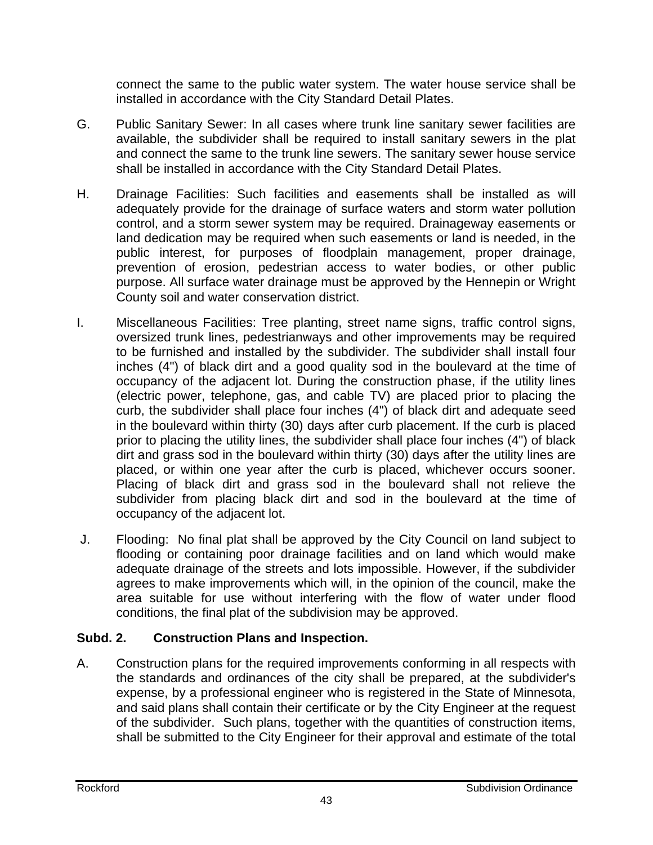connect the same to the public water system. The water house service shall be installed in accordance with the City Standard Detail Plates.

- G. Public Sanitary Sewer: In all cases where trunk line sanitary sewer facilities are available, the subdivider shall be required to install sanitary sewers in the plat and connect the same to the trunk line sewers. The sanitary sewer house service shall be installed in accordance with the City Standard Detail Plates.
- H. Drainage Facilities: Such facilities and easements shall be installed as will adequately provide for the drainage of surface waters and storm water pollution control, and a storm sewer system may be required. Drainageway easements or land dedication may be required when such easements or land is needed, in the public interest, for purposes of floodplain management, proper drainage, prevention of erosion, pedestrian access to water bodies, or other public purpose. All surface water drainage must be approved by the Hennepin or Wright County soil and water conservation district.
- I. Miscellaneous Facilities: Tree planting, street name signs, traffic control signs, oversized trunk lines, pedestrianways and other improvements may be required to be furnished and installed by the subdivider. The subdivider shall install four inches (4") of black dirt and a good quality sod in the boulevard at the time of occupancy of the adjacent lot. During the construction phase, if the utility lines (electric power, telephone, gas, and cable TV) are placed prior to placing the curb, the subdivider shall place four inches (4") of black dirt and adequate seed in the boulevard within thirty (30) days after curb placement. If the curb is placed prior to placing the utility lines, the subdivider shall place four inches (4") of black dirt and grass sod in the boulevard within thirty (30) days after the utility lines are placed, or within one year after the curb is placed, whichever occurs sooner. Placing of black dirt and grass sod in the boulevard shall not relieve the subdivider from placing black dirt and sod in the boulevard at the time of occupancy of the adjacent lot.
- J. Flooding: No final plat shall be approved by the City Council on land subject to flooding or containing poor drainage facilities and on land which would make adequate drainage of the streets and lots impossible. However, if the subdivider agrees to make improvements which will, in the opinion of the council, make the area suitable for use without interfering with the flow of water under flood conditions, the final plat of the subdivision may be approved.

## **Subd. 2. Construction Plans and Inspection.**

A. Construction plans for the required improvements conforming in all respects with the standards and ordinances of the city shall be prepared, at the subdivider's expense, by a professional engineer who is registered in the State of Minnesota, and said plans shall contain their certificate or by the City Engineer at the request of the subdivider. Such plans, together with the quantities of construction items, shall be submitted to the City Engineer for their approval and estimate of the total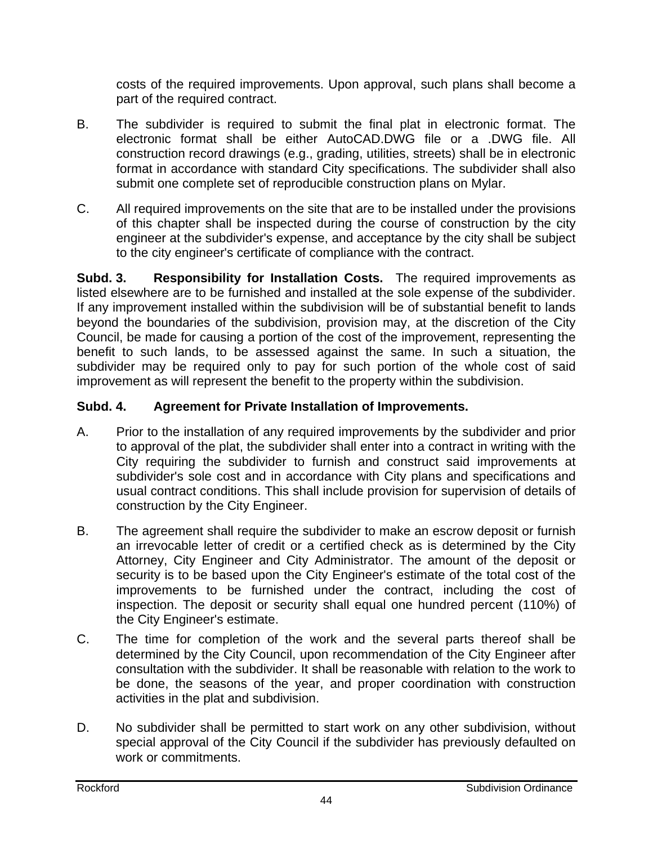costs of the required improvements. Upon approval, such plans shall become a part of the required contract.

- B. The subdivider is required to submit the final plat in electronic format. The electronic format shall be either AutoCAD.DWG file or a .DWG file. All construction record drawings (e.g., grading, utilities, streets) shall be in electronic format in accordance with standard City specifications. The subdivider shall also submit one complete set of reproducible construction plans on Mylar.
- C. All required improvements on the site that are to be installed under the provisions of this chapter shall be inspected during the course of construction by the city engineer at the subdivider's expense, and acceptance by the city shall be subject to the city engineer's certificate of compliance with the contract.

**Subd. 3. Responsibility for Installation Costs.** The required improvements as listed elsewhere are to be furnished and installed at the sole expense of the subdivider. If any improvement installed within the subdivision will be of substantial benefit to lands beyond the boundaries of the subdivision, provision may, at the discretion of the City Council, be made for causing a portion of the cost of the improvement, representing the benefit to such lands, to be assessed against the same. In such a situation, the subdivider may be required only to pay for such portion of the whole cost of said improvement as will represent the benefit to the property within the subdivision.

## **Subd. 4. Agreement for Private Installation of Improvements.**

- A. Prior to the installation of any required improvements by the subdivider and prior to approval of the plat, the subdivider shall enter into a contract in writing with the City requiring the subdivider to furnish and construct said improvements at subdivider's sole cost and in accordance with City plans and specifications and usual contract conditions. This shall include provision for supervision of details of construction by the City Engineer.
- B. The agreement shall require the subdivider to make an escrow deposit or furnish an irrevocable letter of credit or a certified check as is determined by the City Attorney, City Engineer and City Administrator. The amount of the deposit or security is to be based upon the City Engineer's estimate of the total cost of the improvements to be furnished under the contract, including the cost of inspection. The deposit or security shall equal one hundred percent (110%) of the City Engineer's estimate.
- C. The time for completion of the work and the several parts thereof shall be determined by the City Council, upon recommendation of the City Engineer after consultation with the subdivider. It shall be reasonable with relation to the work to be done, the seasons of the year, and proper coordination with construction activities in the plat and subdivision.
- D. No subdivider shall be permitted to start work on any other subdivision, without special approval of the City Council if the subdivider has previously defaulted on work or commitments.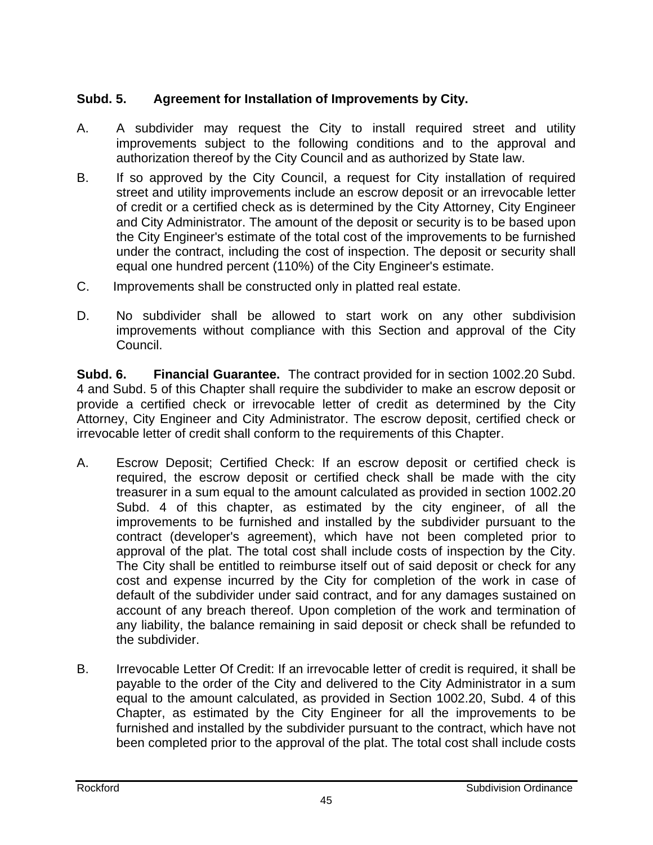## **Subd. 5. Agreement for Installation of Improvements by City.**

- A. A subdivider may request the City to install required street and utility improvements subject to the following conditions and to the approval and authorization thereof by the City Council and as authorized by State law.
- B. If so approved by the City Council, a request for City installation of required street and utility improvements include an escrow deposit or an irrevocable letter of credit or a certified check as is determined by the City Attorney, City Engineer and City Administrator. The amount of the deposit or security is to be based upon the City Engineer's estimate of the total cost of the improvements to be furnished under the contract, including the cost of inspection. The deposit or security shall equal one hundred percent (110%) of the City Engineer's estimate.
- C. Improvements shall be constructed only in platted real estate.
- D. No subdivider shall be allowed to start work on any other subdivision improvements without compliance with this Section and approval of the City Council.

**Subd. 6. Financial Guarantee.** The contract provided for in section 1002.20 Subd. 4 and Subd. 5 of this Chapter shall require the subdivider to make an escrow deposit or provide a certified check or irrevocable letter of credit as determined by the City Attorney, City Engineer and City Administrator. The escrow deposit, certified check or irrevocable letter of credit shall conform to the requirements of this Chapter.

- A. Escrow Deposit; Certified Check: If an escrow deposit or certified check is required, the escrow deposit or certified check shall be made with the city treasurer in a sum equal to the amount calculated as provided in section 1002.20 Subd. 4 of this chapter, as estimated by the city engineer, of all the improvements to be furnished and installed by the subdivider pursuant to the contract (developer's agreement), which have not been completed prior to approval of the plat. The total cost shall include costs of inspection by the City. The City shall be entitled to reimburse itself out of said deposit or check for any cost and expense incurred by the City for completion of the work in case of default of the subdivider under said contract, and for any damages sustained on account of any breach thereof. Upon completion of the work and termination of any liability, the balance remaining in said deposit or check shall be refunded to the subdivider.
- B. Irrevocable Letter Of Credit: If an irrevocable letter of credit is required, it shall be payable to the order of the City and delivered to the City Administrator in a sum equal to the amount calculated, as provided in Section 1002.20, Subd. 4 of this Chapter, as estimated by the City Engineer for all the improvements to be furnished and installed by the subdivider pursuant to the contract, which have not been completed prior to the approval of the plat. The total cost shall include costs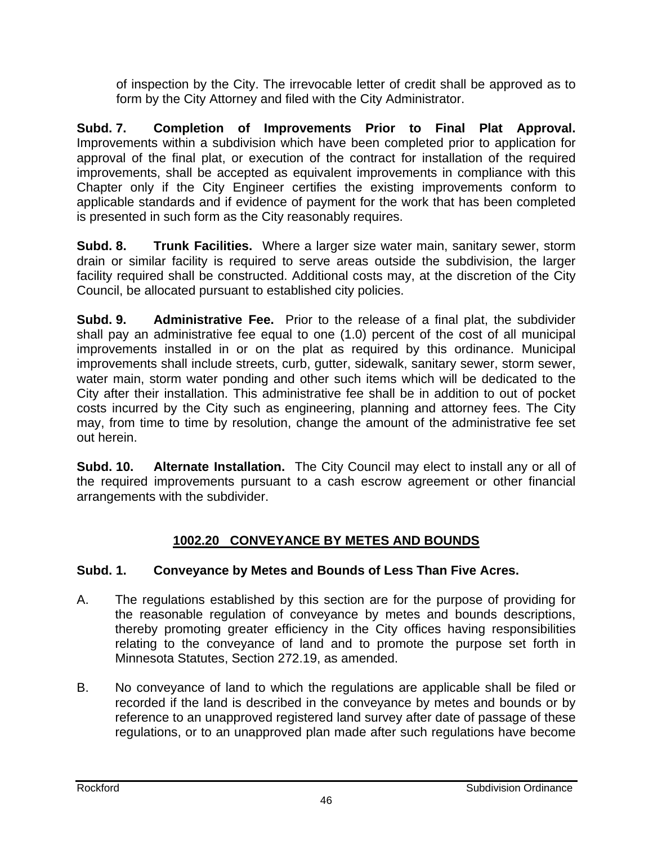of inspection by the City. The irrevocable letter of credit shall be approved as to form by the City Attorney and filed with the City Administrator.

**Subd. 7. Completion of Improvements Prior to Final Plat Approval.**  Improvements within a subdivision which have been completed prior to application for approval of the final plat, or execution of the contract for installation of the required improvements, shall be accepted as equivalent improvements in compliance with this Chapter only if the City Engineer certifies the existing improvements conform to applicable standards and if evidence of payment for the work that has been completed is presented in such form as the City reasonably requires.

**Subd. 8. Trunk Facilities.** Where a larger size water main, sanitary sewer, storm drain or similar facility is required to serve areas outside the subdivision, the larger facility required shall be constructed. Additional costs may, at the discretion of the City Council, be allocated pursuant to established city policies.

**Subd. 9. Administrative Fee.** Prior to the release of a final plat, the subdivider shall pay an administrative fee equal to one (1.0) percent of the cost of all municipal improvements installed in or on the plat as required by this ordinance. Municipal improvements shall include streets, curb, gutter, sidewalk, sanitary sewer, storm sewer, water main, storm water ponding and other such items which will be dedicated to the City after their installation. This administrative fee shall be in addition to out of pocket costs incurred by the City such as engineering, planning and attorney fees. The City may, from time to time by resolution, change the amount of the administrative fee set out herein.

**Subd. 10. Alternate Installation.** The City Council may elect to install any or all of the required improvements pursuant to a cash escrow agreement or other financial arrangements with the subdivider.

# **1002.20 CONVEYANCE BY METES AND BOUNDS**

## **Subd. 1. Conveyance by Metes and Bounds of Less Than Five Acres.**

- A. The regulations established by this section are for the purpose of providing for the reasonable regulation of conveyance by metes and bounds descriptions, thereby promoting greater efficiency in the City offices having responsibilities relating to the conveyance of land and to promote the purpose set forth in Minnesota Statutes, Section 272.19, as amended.
- B. No conveyance of land to which the regulations are applicable shall be filed or recorded if the land is described in the conveyance by metes and bounds or by reference to an unapproved registered land survey after date of passage of these regulations, or to an unapproved plan made after such regulations have become